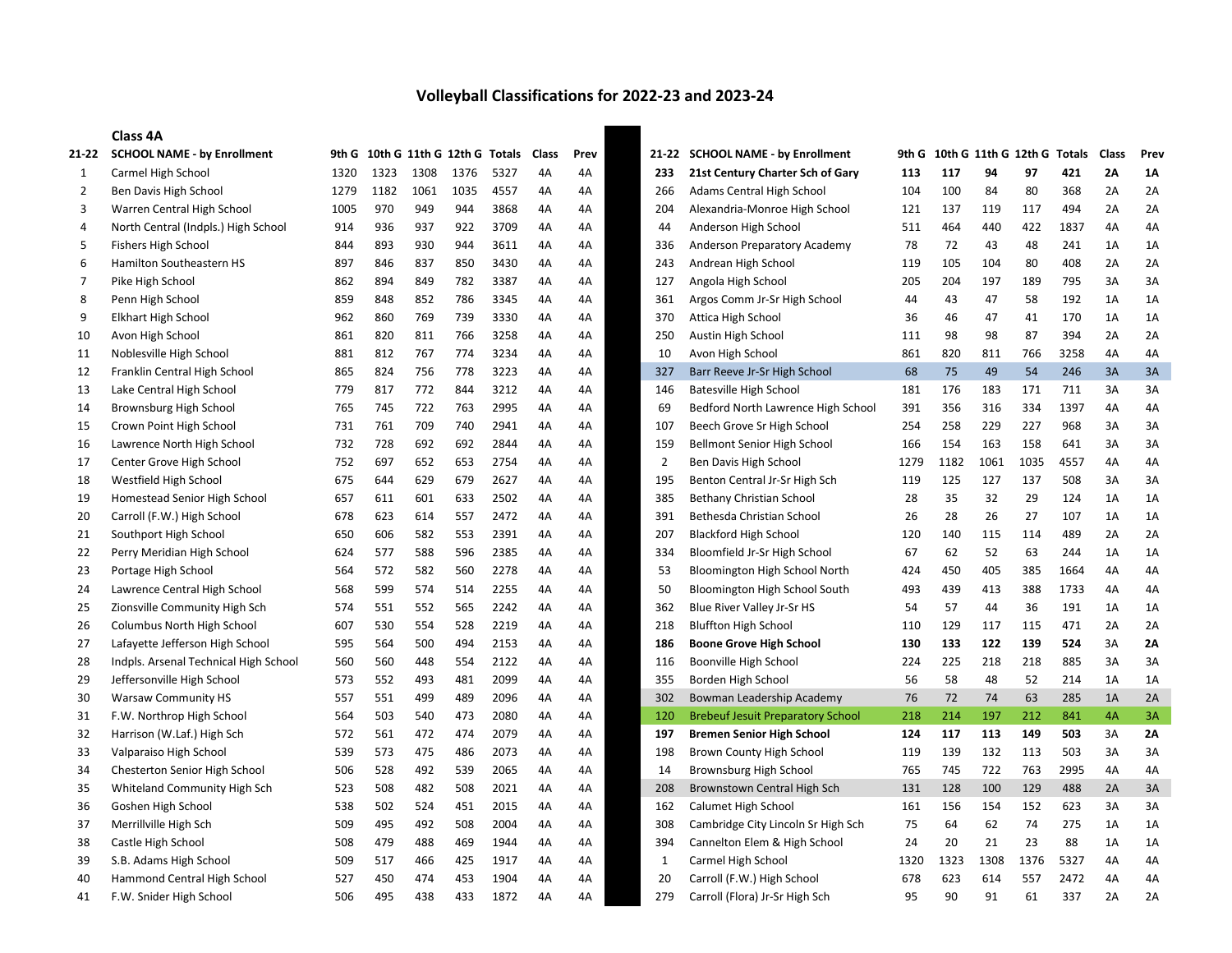## Volleyball Classifications for 2022-23 and 2023-24

## Class 4A

| 21-22          | <b>SCHOOL NAME - by Enrollment</b>    | 9th G |      |      | 10th G 11th G 12th G Totals |      | <b>Class</b> | Prev | 21-22          | <b>SCHOOL NAME - by Enrollment</b>       | 9th G | 10th G 11th G 12th G |      |      | <b>Totals</b> | Class | Prev      |
|----------------|---------------------------------------|-------|------|------|-----------------------------|------|--------------|------|----------------|------------------------------------------|-------|----------------------|------|------|---------------|-------|-----------|
| $\mathbf{1}$   | Carmel High School                    | 1320  | 1323 | 1308 | 1376                        | 5327 | 4A           | 4A   | 233            | 21st Century Charter Sch of Gary         | 113   | 117                  | 94   | 97   | 421           | 2A    | <b>1A</b> |
| $\overline{2}$ | Ben Davis High School                 | 1279  | 1182 | 1061 | 1035                        | 4557 | 4A           | 4A   | 266            | Adams Central High School                | 104   | 100                  | 84   | 80   | 368           | 2A    | 2A        |
| 3              | Warren Central High School            | 1005  | 970  | 949  | 944                         | 3868 | 4A           | 4A   | 204            | Alexandria-Monroe High School            | 121   | 137                  | 119  | 117  | 494           | 2A    | 2A        |
| 4              | North Central (Indpls.) High School   | 914   | 936  | 937  | 922                         | 3709 | 4A           | 4A   | 44             | Anderson High School                     | 511   | 464                  | 440  | 422  | 1837          | 4A    | 4A        |
| 5              | <b>Fishers High School</b>            | 844   | 893  | 930  | 944                         | 3611 | 4A           | 4A   | 336            | Anderson Preparatory Academy             | 78    | 72                   | 43   | 48   | 241           | 1A    | 1A        |
| 6              | Hamilton Southeastern HS              | 897   | 846  | 837  | 850                         | 3430 | 4A           | 4A   | 243            | Andrean High School                      | 119   | 105                  | 104  | 80   | 408           | 2A    | 2A        |
| $\overline{7}$ | Pike High School                      | 862   | 894  | 849  | 782                         | 3387 | 4A           | 4A   | 127            | Angola High School                       | 205   | 204                  | 197  | 189  | 795           | 3A    | 3A        |
| 8              | Penn High School                      | 859   | 848  | 852  | 786                         | 3345 | 4A           | 4A   | 361            | Argos Comm Jr-Sr High School             | 44    | 43                   | 47   | 58   | 192           | 1A    | 1A        |
| 9              | <b>Elkhart High School</b>            | 962   | 860  | 769  | 739                         | 3330 | 4A           | 4A   | 370            | Attica High School                       | 36    | 46                   | 47   | 41   | 170           | 1A    | 1A        |
| 10             | Avon High School                      | 861   | 820  | 811  | 766                         | 3258 | 4A           | 4A   | 250            | Austin High School                       | 111   | 98                   | 98   | 87   | 394           | 2A    | 2A        |
| 11             | Noblesville High School               | 881   | 812  | 767  | 774                         | 3234 | 4A           | 4A   | 10             | Avon High School                         | 861   | 820                  | 811  | 766  | 3258          | 4A    | 4A        |
| 12             | Franklin Central High School          | 865   | 824  | 756  | 778                         | 3223 | 4A           | 4A   | 327            | Barr Reeve Jr-Sr High School             | 68    | 75                   | 49   | 54   | 246           | 3A    | 3A        |
| 13             | Lake Central High School              | 779   | 817  | 772  | 844                         | 3212 | 4A           | 4A   | 146            | Batesville High School                   | 181   | 176                  | 183  | 171  | 711           | 3A    | 3A        |
| 14             | Brownsburg High School                | 765   | 745  | 722  | 763                         | 2995 | 4A           | 4A   | 69             | Bedford North Lawrence High School       | 391   | 356                  | 316  | 334  | 1397          | 4A    | 4A        |
| 15             | Crown Point High School               | 731   | 761  | 709  | 740                         | 2941 | 4A           | 4A   | 107            | Beech Grove Sr High School               | 254   | 258                  | 229  | 227  | 968           | 3A    | 3A        |
| 16             | Lawrence North High School            | 732   | 728  | 692  | 692                         | 2844 | 4A           | 4A   | 159            | <b>Bellmont Senior High School</b>       | 166   | 154                  | 163  | 158  | 641           | 3A    | 3A        |
| 17             | Center Grove High School              | 752   | 697  | 652  | 653                         | 2754 | 4A           | 4A   | $\overline{2}$ | Ben Davis High School                    | 1279  | 1182                 | 1061 | 1035 | 4557          | 4A    | 4A        |
| 18             | Westfield High School                 | 675   | 644  | 629  | 679                         | 2627 | 4A           | 4A   | 195            | Benton Central Jr-Sr High Sch            | 119   | 125                  | 127  | 137  | 508           | 3A    | 3A        |
| 19             | Homestead Senior High School          | 657   | 611  | 601  | 633                         | 2502 | 4A           | 4A   | 385            | Bethany Christian School                 | 28    | 35                   | 32   | 29   | 124           | 1A    | 1A        |
| 20             | Carroll (F.W.) High School            | 678   | 623  | 614  | 557                         | 2472 | 4A           | 4A   | 391            | Bethesda Christian School                | 26    | 28                   | 26   | 27   | 107           | 1A    | 1A        |
| 21             | Southport High School                 | 650   | 606  | 582  | 553                         | 2391 | 4A           | 4A   | 207            | <b>Blackford High School</b>             | 120   | 140                  | 115  | 114  | 489           | 2A    | 2A        |
| 22             | Perry Meridian High School            | 624   | 577  | 588  | 596                         | 2385 | 4A           | 4A   | 334            | Bloomfield Jr-Sr High School             | 67    | 62                   | 52   | 63   | 244           | 1A    | 1A        |
| 23             | Portage High School                   | 564   | 572  | 582  | 560                         | 2278 | 4A           | 4A   | 53             | Bloomington High School North            | 424   | 450                  | 405  | 385  | 1664          | 4A    | 4A        |
| 24             | Lawrence Central High School          | 568   | 599  | 574  | 514                         | 2255 | 4A           | 4A   | 50             | Bloomington High School South            | 493   | 439                  | 413  | 388  | 1733          | 4A    | 4A        |
| 25             | Zionsville Community High Sch         | 574   | 551  | 552  | 565                         | 2242 | 4A           | 4A   | 362            | Blue River Valley Jr-Sr HS               | 54    | 57                   | 44   | 36   | 191           | 1A    | 1A        |
| 26             | Columbus North High School            | 607   | 530  | 554  | 528                         | 2219 | 4A           | 4A   | 218            | <b>Bluffton High School</b>              | 110   | 129                  | 117  | 115  | 471           | 2A    | 2A        |
| 27             | Lafayette Jefferson High School       | 595   | 564  | 500  | 494                         | 2153 | 4A           | 4A   | 186            | <b>Boone Grove High School</b>           | 130   | 133                  | 122  | 139  | 524           | 3A    | 2A        |
| 28             | Indpls. Arsenal Technical High School | 560   | 560  | 448  | 554                         | 2122 | 4A           | 4A   | 116            | Boonville High School                    | 224   | 225                  | 218  | 218  | 885           | 3A    | 3A        |
| 29             | Jeffersonville High School            | 573   | 552  | 493  | 481                         | 2099 | 4A           | 4A   | 355            | Borden High School                       | 56    | 58                   | 48   | 52   | 214           | 1A    | 1A        |
| 30             | <b>Warsaw Community HS</b>            | 557   | 551  | 499  | 489                         | 2096 | 4A           | 4A   | 302            | Bowman Leadership Academy                | 76    | 72                   | 74   | 63   | 285           | 1A    | 2A        |
| 31             | F.W. Northrop High School             | 564   | 503  | 540  | 473                         | 2080 | 4A           | 4A   | 120            | <b>Brebeuf Jesuit Preparatory School</b> | 218   | 214                  | 197  | 212  | 841           | 4A    | 3A        |
| 32             | Harrison (W.Laf.) High Sch            | 572   | 561  | 472  | 474                         | 2079 | 4A           | 4A   | 197            | <b>Bremen Senior High School</b>         | 124   | 117                  | 113  | 149  | 503           | 3A    | 2A        |
| 33             | Valparaiso High School                | 539   | 573  | 475  | 486                         | 2073 | 4A           | 4A   | 198            | Brown County High School                 | 119   | 139                  | 132  | 113  | 503           | 3A    | 3A        |
| 34             | Chesterton Senior High School         | 506   | 528  | 492  | 539                         | 2065 | 4A           | 4A   | 14             | Brownsburg High School                   | 765   | 745                  | 722  | 763  | 2995          | 4A    | 4A        |
| 35             | Whiteland Community High Sch          | 523   | 508  | 482  | 508                         | 2021 | 4A           | 4A   | 208            | Brownstown Central High Sch              | 131   | 128                  | 100  | 129  | 488           | 2A    | 3A        |
| 36             | Goshen High School                    | 538   | 502  | 524  | 451                         | 2015 | 4A           | 4A   | 162            | Calumet High School                      | 161   | 156                  | 154  | 152  | 623           | 3A    | 3A        |
| 37             | Merrillville High Sch                 | 509   | 495  | 492  | 508                         | 2004 | 4A           | 4A   | 308            | Cambridge City Lincoln Sr High Sch       | 75    | 64                   | 62   | 74   | 275           | 1A    | 1A        |
| 38             | Castle High School                    | 508   | 479  | 488  | 469                         | 1944 | 4A           | 4A   | 394            | Cannelton Elem & High School             | 24    | 20                   | 21   | 23   | 88            | 1A    | 1A        |
| 39             | S.B. Adams High School                | 509   | 517  | 466  | 425                         | 1917 | 4A           | 4A   | $\mathbf{1}$   | Carmel High School                       | 1320  | 1323                 | 1308 | 1376 | 5327          | 4A    | 4A        |
| 40             | Hammond Central High School           | 527   | 450  | 474  | 453                         | 1904 | 4A           | 4A   | 20             | Carroll (F.W.) High School               | 678   | 623                  | 614  | 557  | 2472          | 4A    | 4A        |
| 41             | F.W. Snider High School               | 506   | 495  | 438  | 433                         | 1872 | 4A           | 4A   | 279            | Carroll (Flora) Jr-Sr High Sch           | 95    | 90                   | 91   | 61   | 337           | 2A    | 2A        |
|                |                                       |       |      |      |                             |      |              |      |                |                                          |       |                      |      |      |               |       |           |

| 1-22           | <b>SCHOOL NAME - by Enrollment</b>       | 9th G |      |      | 10th G 11th G 12th G Totals |      | Class | Prev |
|----------------|------------------------------------------|-------|------|------|-----------------------------|------|-------|------|
| 233            | 21st Century Charter Sch of Gary         | 113   | 117  | 94   | 97                          | 421  | 2Α    | 1Α   |
| 266            | Adams Central High School                | 104   | 100  | 84   | 80                          | 368  | 2A    | 2A   |
| 204            | Alexandria-Monroe High School            | 121   | 137  | 119  | 117                         | 494  | 2Α    | 2A   |
| 44             | Anderson High School                     | 511   | 464  | 440  | 422                         | 1837 | 4A    | 4A   |
| 336            | Anderson Preparatory Academy             | 78    | 72   | 43   | 48                          | 241  | 1A    | 1A   |
| 243            | Andrean High School                      | 119   | 105  | 104  | 80                          | 408  | 2A    | 2A   |
| 127            | Angola High School                       | 205   | 204  | 197  | 189                         | 795  | 3A    | 3A   |
| 361            | Argos Comm Jr-Sr High School             | 44    | 43   | 47   | 58                          | 192  | 1A    | 1A   |
| 370            | Attica High School                       | 36    | 46   | 47   | 41                          | 170  | 1A    | 1A   |
| 250            | Austin High School                       | 111   | 98   | 98   | 87                          | 394  | 2A    | 2A   |
| 10             | Avon High School                         | 861   | 820  | 811  | 766                         | 3258 | 4A    | 4A   |
| 327            | Barr Reeve Jr-Sr High School             | 68    | 75   | 49   | 54                          | 246  | 3A    | 3A   |
| 146            | <b>Batesville High School</b>            | 181   | 176  | 183  | 171                         | 711  | 3A    | 3A   |
| 69             | Bedford North Lawrence High School       | 391   | 356  | 316  | 334                         | 1397 | 4A    | 4A   |
| 107            | Beech Grove Sr High School               | 254   | 258  | 229  | 227                         | 968  | ЗA    | 3A   |
| 159            | <b>Bellmont Senior High School</b>       | 166   | 154  | 163  | 158                         | 641  | 3A    | 3A   |
| $\overline{2}$ | Ben Davis High School                    | 1279  | 1182 | 1061 | 1035                        | 4557 | 4A    | 4A   |
| 195            | Benton Central Jr-Sr High Sch            | 119   | 125  | 127  | 137                         | 508  | 3A    | ЗA   |
| 385            | Bethany Christian School                 | 28    | 35   | 32   | 29                          | 124  | 1A    | 1A   |
| 391            | Bethesda Christian School                | 26    | 28   | 26   | 27                          | 107  | 1A    | 1A   |
| 207            | <b>Blackford High School</b>             | 120   | 140  | 115  | 114                         | 489  | 2A    | 2A   |
| 334            | Bloomfield Jr-Sr High School             | 67    | 62   | 52   | 63                          | 244  | 1A    | 1A   |
| 53             | Bloomington High School North            | 424   | 450  | 405  | 385                         | 1664 | 4А    | 4A   |
| 50             | Bloomington High School South            | 493   | 439  | 413  | 388                         | 1733 | 4A    | 4A   |
| 362            | Blue River Valley Jr-Sr HS               | 54    | 57   | 44   | 36                          | 191  | 1A    | 1A   |
| 218            | <b>Bluffton High School</b>              | 110   | 129  | 117  | 115                         | 471  | 2Α    | 2A   |
| 186            | <b>Boone Grove High School</b>           | 130   | 133  | 122  | 139                         | 524  | 3A    | 2Λ   |
| 116            | Boonville High School                    | 224   | 225  | 218  | 218                         | 885  | 3A    | 3A   |
| 355            | Borden High School                       | 56    | 58   | 48   | 52                          | 214  | 1A    | 1A   |
| 302            | Bowman Leadership Academy                | 76    | 72   | 74   | 63                          | 285  | 1A    | 2A   |
| 120            | <b>Brebeuf Jesuit Preparatory School</b> | 218   | 214  | 197  | 212                         | 841  | 4A    | 3A   |
| 197            | <b>Bremen Senior High School</b>         | 124   | 117  | 113  | 149                         | 503  | 3A    | 2Α   |
| 198            | Brown County High School                 | 119   | 139  | 132  | 113                         | 503  | ЗA    | ЗA   |
| 14             | Brownsburg High School                   | 765   | 745  | 722  | 763                         | 2995 | 4A    | 4A   |
| 208            | Brownstown Central High Sch              | 131   | 128  | 100  | 129                         | 488  | 2A    | 3A   |
| 162            | Calumet High School                      | 161   | 156  | 154  | 152                         | 623  | 3A    | 3A   |
| 308            | Cambridge City Lincoln Sr High Sch       | 75    | 64   | 62   | 74                          | 275  | 1A    | 1A   |
| 394            | Cannelton Elem & High School             | 24    | 20   | 21   | 23                          | 88   | 1A    | 1A   |
| $\mathbf{1}$   | Carmel High School                       | 1320  | 1323 | 1308 | 1376                        | 5327 | 4A    | 4A   |
| 20             | Carroll (F.W.) High School               | 678   | 623  | 614  | 557                         | 2472 | 4A    | 4A   |
| 279            | Carroll (Flora) Jr-Sr High Sch           | 95    | 90   | 91   | 61                          | 337  | 2A    | 2A   |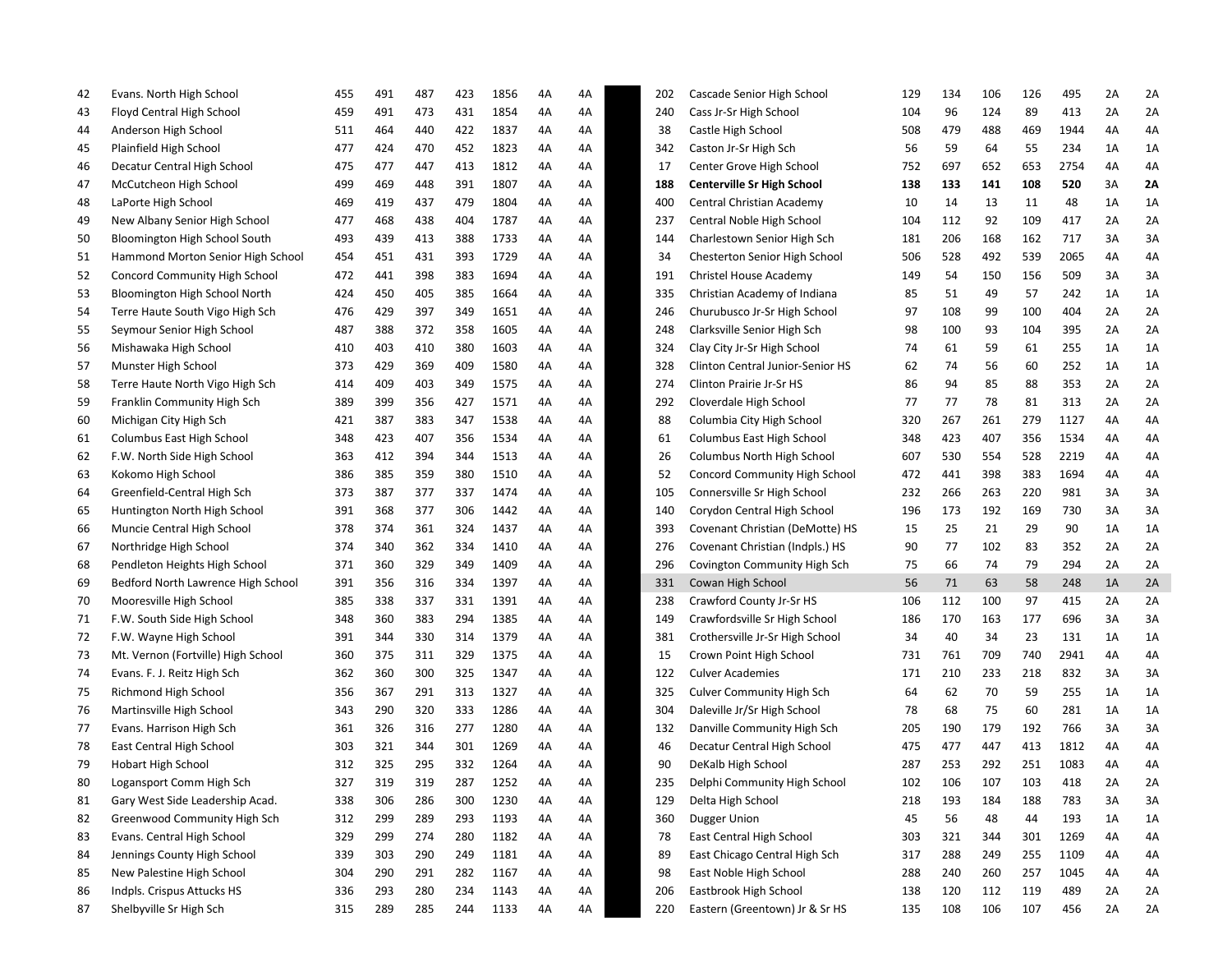| 42 | Evans. North High School           | 455 | 491 | 487 | 423 | 1856 | 4Α | 4A | 202 | Cascade Senior High School        | 129 | 134 | 106 | 126 | 495  | 2A | 2A |
|----|------------------------------------|-----|-----|-----|-----|------|----|----|-----|-----------------------------------|-----|-----|-----|-----|------|----|----|
| 43 | Floyd Central High School          | 459 | 491 | 473 | 431 | 1854 | 4Α | 4A | 240 | Cass Jr-Sr High School            | 104 | 96  | 124 | 89  | 413  | 2A | 2A |
| 44 | Anderson High School               | 511 | 464 | 440 | 422 | 1837 | 4Α | 4A | 38  | Castle High School                | 508 | 479 | 488 | 469 | 1944 | 4Α | 4A |
| 45 | Plainfield High School             | 477 | 424 | 470 | 452 | 1823 | 4A | 4A | 342 | Caston Jr-Sr High Sch             | 56  | 59  | 64  | 55  | 234  | 1A | 1A |
| 46 | Decatur Central High School        | 475 | 477 | 447 | 413 | 1812 | 4A | 4A | 17  | Center Grove High School          | 752 | 697 | 652 | 653 | 2754 | 4Α | 4A |
| 47 | McCutcheon High School             | 499 | 469 | 448 | 391 | 1807 | 4A | 4A | 188 | <b>Centerville Sr High School</b> | 138 | 133 | 141 | 108 | 520  | ЗA | 2Α |
| 48 | LaPorte High School                | 469 | 419 | 437 | 479 | 1804 | 4A | 4A | 400 | Central Christian Academy         | 10  | 14  | 13  | 11  | 48   | 1A | 1A |
| 49 | New Albany Senior High School      | 477 | 468 | 438 | 404 | 1787 | 4A | 4A | 237 | Central Noble High School         | 104 | 112 | 92  | 109 | 417  | 2A | 2A |
| 50 | Bloomington High School South      | 493 | 439 | 413 | 388 | 1733 | 4A | 4A | 144 | Charlestown Senior High Sch       | 181 | 206 | 168 | 162 | 717  | 3A | 3A |
| 51 | Hammond Morton Senior High School  | 454 | 451 | 431 | 393 | 1729 | 4A | 4A | 34  | Chesterton Senior High School     | 506 | 528 | 492 | 539 | 2065 | 4Α | 4A |
| 52 | Concord Community High School      | 472 | 441 | 398 | 383 | 1694 | 4A | 4A | 191 | Christel House Academy            | 149 | 54  | 150 | 156 | 509  | 3A | 3A |
| 53 | Bloomington High School North      | 424 | 450 | 405 | 385 | 1664 | 4Α | 4A | 335 | Christian Academy of Indiana      | 85  | 51  | 49  | 57  | 242  | 1A | 1A |
| 54 | Terre Haute South Vigo High Sch    | 476 | 429 | 397 | 349 | 1651 | 4A | 4A | 246 | Churubusco Jr-Sr High School      | 97  | 108 | 99  | 100 | 404  | 2A | 2A |
| 55 | Seymour Senior High School         | 487 | 388 | 372 | 358 | 1605 | 4A | 4A | 248 | Clarksville Senior High Sch       | 98  | 100 | 93  | 104 | 395  | 2A | 2A |
| 56 | Mishawaka High School              | 410 | 403 | 410 | 380 | 1603 | 4A | 4A | 324 | Clay City Jr-Sr High School       | 74  | 61  | 59  | 61  | 255  | 1A | 1A |
| 57 | Munster High School                | 373 | 429 | 369 | 409 | 1580 | 4A | 4A | 328 | Clinton Central Junior-Senior HS  | 62  | 74  | 56  | 60  | 252  | 1A | 1A |
| 58 | Terre Haute North Vigo High Sch    | 414 | 409 | 403 | 349 | 1575 | 4A | 4A | 274 | Clinton Prairie Jr-Sr HS          | 86  | 94  | 85  | 88  | 353  | 2A | 2A |
| 59 | Franklin Community High Sch        | 389 | 399 | 356 | 427 | 1571 | 4A | 4A | 292 | Cloverdale High School            | 77  | 77  | 78  | 81  | 313  | 2A | 2A |
| 60 | Michigan City High Sch             | 421 | 387 | 383 | 347 | 1538 | 4Α | 4A | 88  | Columbia City High School         | 320 | 267 | 261 | 279 | 1127 | 4Α | 4A |
| 61 | Columbus East High School          | 348 | 423 | 407 | 356 | 1534 | 4A | 4A | 61  | Columbus East High School         | 348 | 423 | 407 | 356 | 1534 | 4Α | 4A |
| 62 | F.W. North Side High School        | 363 | 412 | 394 | 344 | 1513 | 4A | 4A | 26  | <b>Columbus North High School</b> | 607 | 530 | 554 | 528 | 2219 | 4Α | 4A |
| 63 | Kokomo High School                 | 386 | 385 | 359 | 380 | 1510 | 4A | 4A | 52  | Concord Community High School     | 472 | 441 | 398 | 383 | 1694 | 4Α | 4A |
| 64 | Greenfield-Central High Sch        | 373 | 387 | 377 | 337 | 1474 | 4A | 4A | 105 | Connersville Sr High School       | 232 | 266 | 263 | 220 | 981  | 3A | 3A |
| 65 | Huntington North High School       | 391 | 368 | 377 | 306 | 1442 | 4A | 4A | 140 | Corydon Central High School       | 196 | 173 | 192 | 169 | 730  | 3A | 3A |
| 66 | Muncie Central High School         | 378 | 374 | 361 | 324 | 1437 | 4A | 4A | 393 | Covenant Christian (DeMotte) HS   | 15  | 25  | 21  | 29  | 90   | 1A | 1A |
| 67 | Northridge High School             | 374 | 340 | 362 | 334 | 1410 | 4A | 4A | 276 | Covenant Christian (Indpls.) HS   | 90  | 77  | 102 | 83  | 352  | 2A | 2A |
| 68 | Pendleton Heights High School      | 371 | 360 | 329 | 349 | 1409 | 4Α | 4A | 296 | Covington Community High Sch      | 75  | 66  | 74  | 79  | 294  | 2A | 2A |
| 69 | Bedford North Lawrence High School | 391 | 356 | 316 | 334 | 1397 | 4Α | 4A | 331 | Cowan High School                 | 56  | 71  | 63  | 58  | 248  | 1A | 2A |
| 70 | Mooresville High School            | 385 | 338 | 337 | 331 | 1391 | 4A | 4A | 238 | Crawford County Jr-Sr HS          | 106 | 112 | 100 | 97  | 415  | 2A | 2A |
| 71 | F.W. South Side High School        | 348 | 360 | 383 | 294 | 1385 | 4A | 4A | 149 | Crawfordsville Sr High School     | 186 | 170 | 163 | 177 | 696  | 3A | 3A |
| 72 | F.W. Wayne High School             | 391 | 344 | 330 | 314 | 1379 | 4A | 4A | 381 | Crothersville Jr-Sr High School   | 34  | 40  | 34  | 23  | 131  | 1A | 1A |
| 73 | Mt. Vernon (Fortville) High School | 360 | 375 | 311 | 329 | 1375 | 4A | 4A | 15  | Crown Point High School           | 731 | 761 | 709 | 740 | 2941 | 4A | 4A |
| 74 | Evans. F. J. Reitz High Sch        | 362 | 360 | 300 | 325 | 1347 | 4A | 4A | 122 | <b>Culver Academies</b>           | 171 | 210 | 233 | 218 | 832  | 3A | 3A |
| 75 | Richmond High School               | 356 | 367 | 291 | 313 | 1327 | 4A | 4A | 325 | <b>Culver Community High Sch</b>  | 64  | 62  | 70  | 59  | 255  | 1A | 1A |
| 76 | Martinsville High School           | 343 | 290 | 320 | 333 | 1286 | 4Α | 4A | 304 | Daleville Jr/Sr High School       | 78  | 68  | 75  | 60  | 281  | 1A | 1A |
| 77 | Evans. Harrison High Sch           | 361 | 326 | 316 | 277 | 1280 | 4Α | 4A | 132 | Danville Community High Sch       | 205 | 190 | 179 | 192 | 766  | 3A | 3A |
| 78 | East Central High School           | 303 | 321 | 344 | 301 | 1269 | 4Α | 4A | 46  | Decatur Central High School       | 475 | 477 | 447 | 413 | 1812 | 4Α | 4A |
| 79 | <b>Hobart High School</b>          | 312 | 325 | 295 | 332 | 1264 | 4A | 4A | 90  | DeKalb High School                | 287 | 253 | 292 | 251 | 1083 | 4A | 4А |
| 80 | Logansport Comm High Sch           | 327 | 319 | 319 | 287 | 1252 | 4A | 4А | 235 | Delphi Community High School      | 102 | 106 | 107 | 103 | 418  | 2A | 2A |
| 81 | Gary West Side Leadership Acad.    | 338 | 306 | 286 | 300 | 1230 | 4A | 4A | 129 | Delta High School                 | 218 | 193 | 184 | 188 | 783  | 3A | 3A |
| 82 | Greenwood Community High Sch       | 312 | 299 | 289 | 293 | 1193 | 4A | 4A | 360 | <b>Dugger Union</b>               | 45  | 56  | 48  | 44  | 193  | 1A | 1A |
| 83 | Evans. Central High School         | 329 | 299 | 274 | 280 | 1182 | 4A | 4A | 78  | East Central High School          | 303 | 321 | 344 | 301 | 1269 | 4A | 4A |
| 84 | Jennings County High School        | 339 | 303 | 290 | 249 | 1181 | 4A | 4A | 89  | East Chicago Central High Sch     | 317 | 288 | 249 | 255 | 1109 | 4Α | 4A |
| 85 | New Palestine High School          | 304 | 290 | 291 | 282 | 1167 | 4A | 4A | 98  | East Noble High School            | 288 | 240 | 260 | 257 | 1045 | 4Α | 4A |
| 86 | Indpls. Crispus Attucks HS         | 336 | 293 | 280 | 234 | 1143 | 4A | 4A | 206 | Eastbrook High School             | 138 | 120 | 112 | 119 | 489  | 2A | 2A |
| 87 | Shelbyville Sr High Sch            | 315 | 289 | 285 | 244 | 1133 | 4A | 4A | 220 | Eastern (Greentown) Jr & Sr HS    | 135 | 108 | 106 | 107 | 456  | 2A | 2A |
|    |                                    |     |     |     |     |      |    |    |     |                                   |     |     |     |     |      |    |    |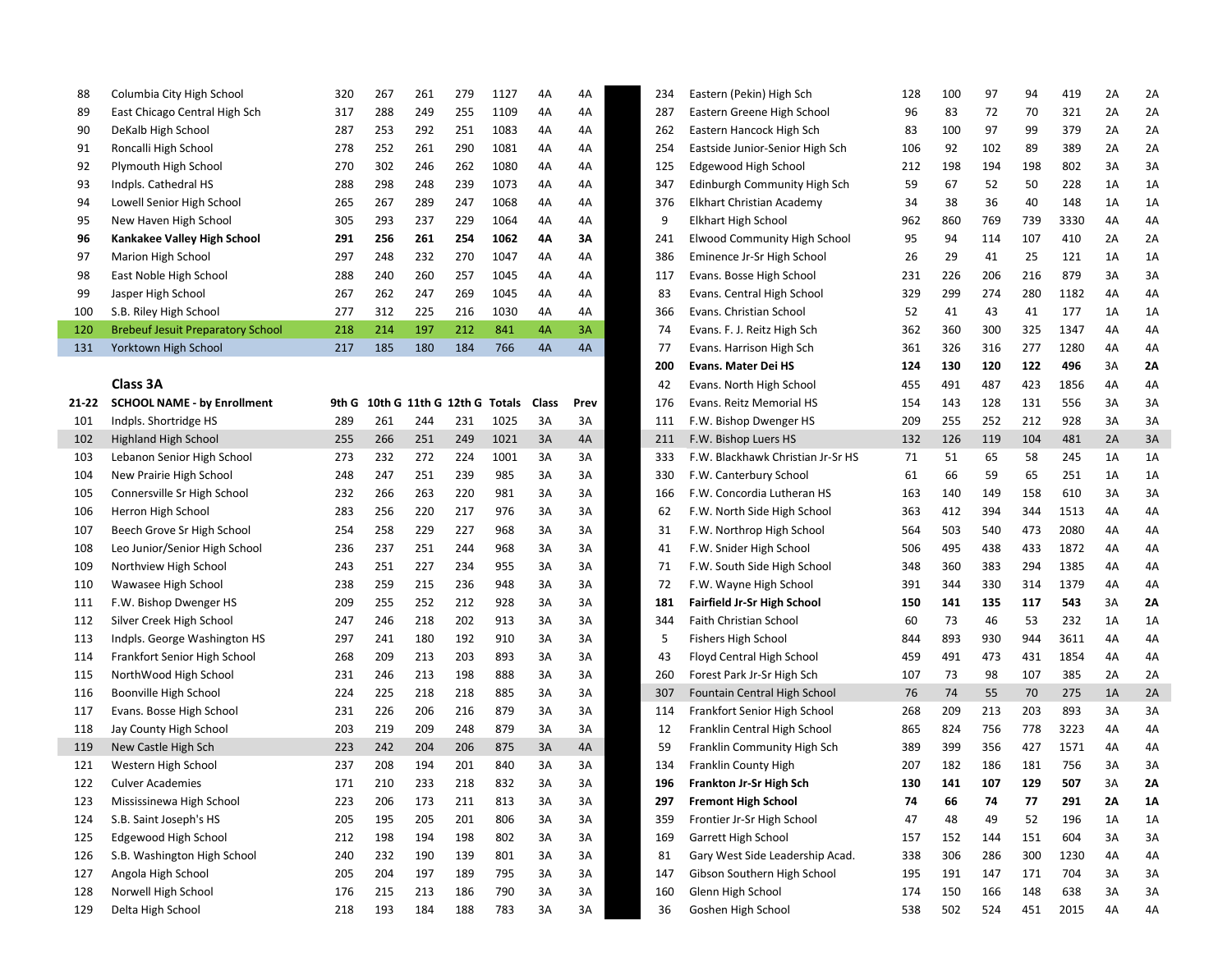| 88        | Columbia City High School                | 320   | 267    | 261 | 279                  | 1127 | 4A           | 4A   | 234 | Eastern (Pekin) High Sch           | 128 | 100 | 97  | 94  | 419  | 2A | 2A |
|-----------|------------------------------------------|-------|--------|-----|----------------------|------|--------------|------|-----|------------------------------------|-----|-----|-----|-----|------|----|----|
| 89        | East Chicago Central High Sch            | 317   | 288    | 249 | 255                  | 1109 | 4A           | 4A   | 287 | Eastern Greene High School         | 96  | 83  | 72  | 70  | 321  | 2A | 2A |
| 90        | DeKalb High School                       | 287   | 253    | 292 | 251                  | 1083 | 4A           | 4A   | 262 | Eastern Hancock High Sch           | 83  | 100 | 97  | 99  | 379  | 2A | 2A |
| 91        | Roncalli High School                     | 278   | 252    | 261 | 290                  | 1081 | 4A           | 4A   | 254 | Eastside Junior-Senior High Sch    | 106 | 92  | 102 | 89  | 389  | 2A | 2A |
| 92        | Plymouth High School                     | 270   | 302    | 246 | 262                  | 1080 | 4A           | 4A   | 125 | Edgewood High School               | 212 | 198 | 194 | 198 | 802  | 3A | 3A |
| 93        | Indpls. Cathedral HS                     | 288   | 298    | 248 | 239                  | 1073 | 4A           | 4A   | 347 | Edinburgh Community High Sch       | 59  | 67  | 52  | 50  | 228  | 1A | 1A |
| 94        | Lowell Senior High School                | 265   | 267    | 289 | 247                  | 1068 | 4A           | 4A   | 376 | <b>Elkhart Christian Academy</b>   | 34  | 38  | 36  | 40  | 148  | 1A | 1A |
| 95        | New Haven High School                    | 305   | 293    | 237 | 229                  | 1064 | 4A           | 4A   | 9   | <b>Elkhart High School</b>         | 962 | 860 | 769 | 739 | 3330 | 4A | 4A |
| 96        | Kankakee Valley High School              | 291   | 256    | 261 | 254                  | 1062 | 4Α           | ЗΛ   | 241 | Elwood Community High School       | 95  | 94  | 114 | 107 | 410  | 2A | 2A |
| 97        | Marion High School                       | 297   | 248    | 232 | 270                  | 1047 | 4A           | 4A   | 386 | Eminence Jr-Sr High School         | 26  | 29  | 41  | 25  | 121  | 1A | 1A |
| 98        | East Noble High School                   | 288   | 240    | 260 | 257                  | 1045 | 4A           | 4A   | 117 | Evans. Bosse High School           | 231 | 226 | 206 | 216 | 879  | 3A | 3A |
| 99        | Jasper High School                       | 267   | 262    | 247 | 269                  | 1045 | 4A           | 4A   | 83  | Evans. Central High School         | 329 | 299 | 274 | 280 | 1182 | 4A | 4A |
| 100       | S.B. Riley High School                   | 277   | 312    | 225 | 216                  | 1030 | 4A           | 4A   | 366 | Evans. Christian School            | 52  | 41  | 43  | 41  | 177  | 1A | 1A |
| 120       | <b>Brebeuf Jesuit Preparatory School</b> | 218   | 214    | 197 | 212                  | 841  | 4A           | 3A   | 74  | Evans. F. J. Reitz High Sch        | 362 | 360 | 300 | 325 | 1347 | 4A | 4A |
| 131       | Yorktown High School                     | 217   | 185    | 180 | 184                  | 766  | 4A           | 4A   | 77  | Evans. Harrison High Sch           | 361 | 326 | 316 | 277 | 1280 | 4A | 4A |
|           |                                          |       |        |     |                      |      |              |      | 200 | <b>Evans. Mater Dei HS</b>         | 124 | 130 | 120 | 122 | 496  | 3A | 2Λ |
|           | Class 3A                                 |       |        |     |                      |      |              |      | 42  | Evans. North High School           | 455 | 491 | 487 | 423 | 1856 | 4A | 4A |
| $21 - 22$ | <b>SCHOOL NAME - by Enrollment</b>       | 9th G | 10th G |     | 11th G 12th G Totals |      | <b>Class</b> | Prev | 176 | Evans. Reitz Memorial HS           | 154 | 143 | 128 | 131 | 556  | 3A | 3A |
| 101       | Indpls. Shortridge HS                    | 289   | 261    | 244 | 231                  | 1025 | 3A           | 3A   | 111 | F.W. Bishop Dwenger HS             | 209 | 255 | 252 | 212 | 928  | 3A | 3A |
| 102       | Highland High School                     | 255   | 266    | 251 | 249                  | 1021 | 3A           | 4A   | 211 | F.W. Bishop Luers HS               | 132 | 126 | 119 | 104 | 481  | 2A | 3A |
| 103       | Lebanon Senior High School               | 273   | 232    | 272 | 224                  | 1001 | 3A           | 3A   | 333 | F.W. Blackhawk Christian Jr-Sr HS  | 71  | 51  | 65  | 58  | 245  | 1A | 1A |
| 104       | New Prairie High School                  | 248   | 247    | 251 | 239                  | 985  | 3A           | 3A   | 330 | F.W. Canterbury School             | 61  | 66  | 59  | 65  | 251  | 1A | 1A |
| 105       | Connersville Sr High School              | 232   | 266    | 263 | 220                  | 981  | 3A           | 3A   | 166 | F.W. Concordia Lutheran HS         | 163 | 140 | 149 | 158 | 610  | 3A | 3A |
| 106       | Herron High School                       | 283   | 256    | 220 | 217                  | 976  | 3A           | 3A   | 62  | F.W. North Side High School        | 363 | 412 | 394 | 344 | 1513 | 4A | 4A |
| 107       | Beech Grove Sr High School               | 254   | 258    | 229 | 227                  | 968  | 3A           | 3A   | 31  | F.W. Northrop High School          | 564 | 503 | 540 | 473 | 2080 | 4A | 4A |
| 108       | Leo Junior/Senior High School            | 236   | 237    | 251 | 244                  | 968  | 3A           | 3A   | 41  | F.W. Snider High School            | 506 | 495 | 438 | 433 | 1872 | 4A | 4A |
| 109       | Northview High School                    | 243   | 251    | 227 | 234                  | 955  | 3A           | 3A   | 71  | F.W. South Side High School        | 348 | 360 | 383 | 294 | 1385 | 4A | 4A |
| 110       | Wawasee High School                      | 238   | 259    | 215 | 236                  | 948  | 3A           | 3A   | 72  | F.W. Wayne High School             | 391 | 344 | 330 | 314 | 1379 | 4A | 4A |
| 111       | F.W. Bishop Dwenger HS                   | 209   | 255    | 252 | 212                  | 928  | 3A           | 3A   | 181 | <b>Fairfield Jr-Sr High School</b> | 150 | 141 | 135 | 117 | 543  | 3A | 2Λ |
| 112       | Silver Creek High School                 | 247   | 246    | 218 | 202                  | 913  | 3A           | 3A   | 344 | Faith Christian School             | 60  | 73  | 46  | 53  | 232  | 1A | 1A |
| 113       | Indpls. George Washington HS             | 297   | 241    | 180 | 192                  | 910  | 3A           | 3A   | 5   | Fishers High School                | 844 | 893 | 930 | 944 | 3611 | 4A | 4A |
| 114       | Frankfort Senior High School             | 268   | 209    | 213 | 203                  | 893  | 3A           | 3A   | 43  | Floyd Central High School          | 459 | 491 | 473 | 431 | 1854 | 4A | 4A |
| 115       | NorthWood High School                    | 231   | 246    | 213 | 198                  | 888  | 3A           | 3A   | 260 | Forest Park Jr-Sr High Sch         | 107 | 73  | 98  | 107 | 385  | 2A | 2A |
| 116       | Boonville High School                    | 224   | 225    | 218 | 218                  | 885  | 3A           | 3A   | 307 | Fountain Central High School       | 76  | 74  | 55  | 70  | 275  | 1A | 2A |
| 117       | Evans. Bosse High School                 | 231   | 226    | 206 | 216                  | 879  | 3A           | 3A   | 114 | Frankfort Senior High School       | 268 | 209 | 213 | 203 | 893  | 3A | 3A |
| 118       | Jay County High School                   | 203   | 219    | 209 | 248                  | 879  | 3A           | 3A   | 12  | Franklin Central High School       | 865 | 824 | 756 | 778 | 3223 | 4A | 4A |
| 119       | New Castle High Sch                      | 223   | 242    | 204 | 206                  | 875  | 3A           | 4A   | 59  | Franklin Community High Sch        | 389 | 399 | 356 | 427 | 1571 | 4A | 4A |
| 121       | Western High School                      | 237   | 208    | 194 | 201                  | 840  | 3A           | 3A   | 134 | Franklin County High               | 207 | 182 | 186 | 181 | 756  | 3A | 3A |
| 122       | <b>Culver Academies</b>                  | 171   | 210    | 233 | 218                  | 832  | 3A           | 3A   | 196 | Frankton Jr-Sr High Sch            | 130 | 141 | 107 | 129 | 507  | RΡ | 2Δ |
| 123       | Mississinewa High School                 | 223   | 206    | 173 | 211                  | 813  | 3A           | 3A   | 297 | <b>Fremont High School</b>         | 74  | 66  | 74  | 77  | 291  | 2A | 1Α |
| 124       | S.B. Saint Joseph's HS                   | 205   | 195    | 205 | 201                  | 806  | 3A           | 3A   | 359 | Frontier Jr-Sr High School         | 47  | 48  | 49  | 52  | 196  | 1A | 1A |
| 125       | Edgewood High School                     | 212   | 198    | 194 | 198                  | 802  | 3A           | 3A   | 169 | Garrett High School                | 157 | 152 | 144 | 151 | 604  | 3A | 3A |
| 126       | S.B. Washington High School              | 240   | 232    | 190 | 139                  | 801  | 3A           | 3A   | 81  | Gary West Side Leadership Acad.    | 338 | 306 | 286 | 300 | 1230 | 4A | 4А |
| 127       | Angola High School                       | 205   | 204    | 197 | 189                  | 795  | 3A           | 3A   | 147 | Gibson Southern High School        | 195 | 191 | 147 | 171 | 704  | 3A | 3A |
| 128       | Norwell High School                      | 176   | 215    | 213 | 186                  | 790  | 3A           | 3A   | 160 | Glenn High School                  | 174 | 150 | 166 | 148 | 638  | 3A | 3A |
| 129       | Delta High School                        | 218   | 193    | 184 | 188                  | 783  | 3A           | 3A   | 36  | Goshen High School                 | 538 | 502 | 524 | 451 | 2015 | 4A | 4A |

| 88   | Columbia City High School                | 320   | 267                  | 261 | 279 | 1127   | 4A    | 4A   | 234 | Eastern (Pekin) High Sch                                       | 128 | 100 | 97  | 94  | 419  | 2A | 2A       |
|------|------------------------------------------|-------|----------------------|-----|-----|--------|-------|------|-----|----------------------------------------------------------------|-----|-----|-----|-----|------|----|----------|
| 89   | East Chicago Central High Sch            | 317   | 288                  | 249 | 255 | 1109   | 4A    | 4A   | 287 | Eastern Greene High School                                     | 96  | 83  | 72  | 70  | 321  | 2A | 2A       |
| 90   | DeKalb High School                       | 287   | 253                  | 292 | 251 | 1083   | 4A    | 4A   | 262 | Eastern Hancock High Sch                                       | 83  | 100 | 97  | 99  | 379  | 2A | 2A       |
| 91   | Roncalli High School                     | 278   | 252                  | 261 | 290 | 1081   | 4A    | 4A   | 254 | Eastside Junior-Senior High Sch                                | 106 | 92  | 102 | 89  | 389  | 2A | 2A       |
| 92   | Plymouth High School                     | 270   | 302                  | 246 | 262 | 1080   | 4A    | 4A   | 125 | Edgewood High School                                           | 212 | 198 | 194 | 198 | 802  | 3A | 3A       |
| 93   | Indpls. Cathedral HS                     | 288   | 298                  | 248 | 239 | 1073   | 4A    | 4A   | 347 | Edinburgh Community High Sch                                   | 59  | 67  | 52  | 50  | 228  | 1A | 1A       |
| 94   | Lowell Senior High School                | 265   | 267                  | 289 | 247 | 1068   | 4A    | 4A   | 376 | Elkhart Christian Academy                                      | 34  | 38  | 36  | 40  | 148  | 1A | 1A       |
| 95   | New Haven High School                    | 305   | 293                  | 237 | 229 | 1064   | 4A    | 4A   | 9   | Elkhart High School                                            | 962 | 860 | 769 | 739 | 3330 | 4A | 4A       |
| 96   | Kankakee Valley High School              | 291   | 256                  | 261 | 254 | 1062   | 4Λ    | ЗΑ   | 241 | Elwood Community High School                                   | 95  | 94  | 114 | 107 | 410  | 2A | 2A       |
| 97   | Marion High School                       | 297   | 248                  | 232 | 270 | 1047   | 4A    | 4A   | 386 | Eminence Jr-Sr High School                                     | 26  | 29  | 41  | 25  | 121  | 1A | 1A       |
| 98   | East Noble High School                   | 288   | 240                  | 260 | 257 | 1045   | 4A    | 4A   | 117 | Evans. Bosse High School                                       | 231 | 226 | 206 | 216 | 879  | 3A | 3A       |
| 99   | Jasper High School                       | 267   | 262                  | 247 | 269 | 1045   | 4A    | 4A   | 83  | Evans. Central High School                                     | 329 | 299 | 274 | 280 | 1182 | 4A | 4A       |
| 100  | S.B. Riley High School                   | 277   | 312                  | 225 | 216 | 1030   | 4A    | 4A   | 366 | Evans. Christian School                                        | 52  | 41  | 43  | 41  | 177  | 1A | 1A       |
| 120  | <b>Brebeuf Jesuit Preparatory School</b> | 218   | 214                  | 197 | 212 | 841    | 4A    | 3A   | 74  | Evans. F. J. Reitz High Sch                                    | 362 | 360 | 300 | 325 | 1347 | 4А | 4A       |
| 131  | Yorktown High School                     | 217   | 185                  | 180 | 184 | 766    | 4A    | 4A   | 77  | Evans. Harrison High Sch                                       | 361 | 326 | 316 | 277 | 1280 | 4A | 4A       |
|      |                                          |       |                      |     |     |        |       |      | 200 | <b>Evans. Mater Dei HS</b>                                     | 124 | 130 | 120 | 122 | 496  | 3A | 2Α       |
|      | Class 3A                                 |       |                      |     |     |        |       |      | 42  | Evans. North High School                                       | 455 | 491 | 487 | 423 | 1856 | 4A | 4А       |
| 1 22 | <b>SCHOOL NAME - by Enrollment</b>       | 9th G | 10th G 11th G 12th G |     |     | Totals | Class | Prev | 176 | Evans. Reitz Memorial HS                                       | 154 | 143 | 128 | 131 | 556  | 3A | 3A       |
| 101  | Indpls. Shortridge HS                    | 289   | 261                  | 244 | 231 | 1025   | 3A    | 3A   | 111 | F.W. Bishop Dwenger HS                                         | 209 | 255 | 252 | 212 | 928  | 3A | 3A       |
| 102  | <b>Highland High School</b>              | 255   | 266                  | 251 | 249 | 1021   | 3A    | 4A   | 211 | F.W. Bishop Luers HS                                           | 132 | 126 | 119 | 104 | 481  | 2A | 3A       |
| 103  | Lebanon Senior High School               | 273   | 232                  | 272 | 224 | 1001   | 3A    | 3A   | 333 | F.W. Blackhawk Christian Jr-Sr HS                              | 71  | 51  | 65  | 58  | 245  | 1A | 1A       |
| 104  | New Prairie High School                  | 248   | 247                  | 251 | 239 | 985    | 3A    | 3A   | 330 | F.W. Canterbury School                                         | 61  | 66  | 59  | 65  | 251  | 1A | 1A       |
| 105  | Connersville Sr High School              | 232   | 266                  | 263 | 220 | 981    | 3A    | 3A   | 166 | F.W. Concordia Lutheran HS                                     | 163 | 140 | 149 | 158 | 610  | 3A | 3A       |
| 106  | Herron High School                       | 283   | 256                  | 220 | 217 | 976    | 3A    | 3A   | 62  | F.W. North Side High School                                    | 363 | 412 | 394 | 344 | 1513 | 4A | 4A       |
| 107  | Beech Grove Sr High School               | 254   | 258                  | 229 | 227 | 968    | 3A    | 3A   | 31  | F.W. Northrop High School                                      | 564 | 503 | 540 | 473 | 2080 | 4A | 4A       |
| 108  | Leo Junior/Senior High School            | 236   | 237                  | 251 | 244 | 968    | 3A    | 3A   | 41  | F.W. Snider High School                                        | 506 | 495 | 438 | 433 | 1872 | 4А | 4A       |
| 109  | Northview High School                    | 243   | 251                  | 227 | 234 | 955    | 3A    | 3A   | 71  | F.W. South Side High School                                    | 348 | 360 | 383 | 294 | 1385 | 4A | 4A       |
| 110  | Wawasee High School                      | 238   | 259                  | 215 | 236 | 948    | 3A    | 3A   | 72  | F.W. Wayne High School                                         | 391 | 344 | 330 | 314 | 1379 | 4A | 4А       |
| 111  | F.W. Bishop Dwenger HS                   | 209   | 255                  | 252 | 212 | 928    | 3A    | 3A   | 181 | <b>Fairfield Jr-Sr High School</b>                             | 150 | 141 | 135 | 117 | 543  | 3A | 2Α       |
| 112  | Silver Creek High School                 | 247   | 246                  | 218 | 202 | 913    | 3A    | 3A   | 344 | Faith Christian School                                         | 60  | 73  | 46  | 53  | 232  | 1A | 1A       |
| 113  | Indpls. George Washington HS             | 297   | 241                  | 180 | 192 | 910    | 3A    | 3A   | 5   | <b>Fishers High School</b>                                     | 844 | 893 | 930 | 944 | 3611 | 4A | 4A       |
| 114  | Frankfort Senior High School             | 268   | 209                  | 213 | 203 | 893    | 3A    | 3A   | 43  | Floyd Central High School                                      | 459 | 491 | 473 | 431 | 1854 | 4A | 4A       |
| 115  | NorthWood High School                    | 231   | 246                  | 213 | 198 | 888    | 3A    | 3A   | 260 | Forest Park Jr-Sr High Sch                                     | 107 | 73  | 98  | 107 | 385  | 2A | 2A       |
| 116  | Boonville High School                    | 224   | 225                  | 218 | 218 | 885    | 3A    | 3A   | 307 | Fountain Central High School                                   | 76  | 74  | 55  | 70  | 275  | 1A | 2A       |
| 117  | Evans. Bosse High School                 | 231   | 226                  | 206 | 216 | 879    | 3A    | 3A   | 114 | Frankfort Senior High School                                   | 268 | 209 | 213 | 203 | 893  | 3A | 3A       |
| 118  | Jay County High School                   | 203   | 219                  | 209 | 248 | 879    | 3A    | 3A   | 12  | Franklin Central High School                                   | 865 | 824 | 756 | 778 | 3223 | 4A | 4A       |
| 119  | New Castle High Sch                      | 223   | 242                  | 204 | 206 | 875    | 3A    | 4A   | 59  | Franklin Community High Sch                                    | 389 | 399 | 356 | 427 | 1571 | 4A | 4A       |
| 121  | Western High School                      | 237   | 208                  | 194 | 201 | 840    | 3A    | 3A   | 134 | <b>Franklin County High</b>                                    | 207 | 182 | 186 | 181 | 756  | 3A | 3A       |
| 122  | <b>Culver Academies</b>                  | 171   | 210                  | 233 | 218 | 832    | 3A    | 3A   | 196 | Frankton Jr-Sr High Sch                                        | 130 | 141 | 107 | 129 | 507  | 3A | 2Α       |
| 123  | Mississinewa High School                 | 223   | 206                  | 173 | 211 | 813    | 3A    | 3A   | 297 | <b>Fremont High School</b>                                     | 74  | 66  | 74  | 77  | 291  | 2Α | 1Α       |
| 124  | S.B. Saint Joseph's HS                   | 205   | 195                  | 205 | 201 | 806    | 3A    | 3A   | 359 | Frontier Jr-Sr High School                                     | 47  | 48  | 49  | 52  | 196  | 1A | 1A       |
| 125  | Edgewood High School                     | 212   | 198                  | 194 | 198 | 802    | 3A    | 3A   | 169 | Garrett High School                                            | 157 | 152 | 144 | 151 | 604  | 3A | 3A       |
| 126  | S.B. Washington High School              | 240   | 232                  | 190 | 139 | 801    | 3A    | 3A   | 81  | Gary West Side Leadership Acad.<br>Gibson Southern High School | 338 | 306 | 286 | 300 | 1230 | 4A | 4Α       |
| 127  | Angola High School                       | 205   | 204                  | 197 | 189 | 795    | 3A    | 3A   | 147 |                                                                | 195 | 191 | 147 | 171 | 704  | 3A | 3A       |
| 128  | Norwell High School<br>Delta High School | 176   | 215                  | 213 | 186 | 790    | 3A    | 3A   | 160 | Glenn High School<br>Goshen High School                        | 174 | 150 | 166 | 148 | 638  | 3A | 3A<br>4A |
| 129  |                                          | 218   | 193                  | 184 | 188 | 783    | 3A    | 3A   | 36  |                                                                | 538 | 502 | 524 | 451 | 2015 | 4A |          |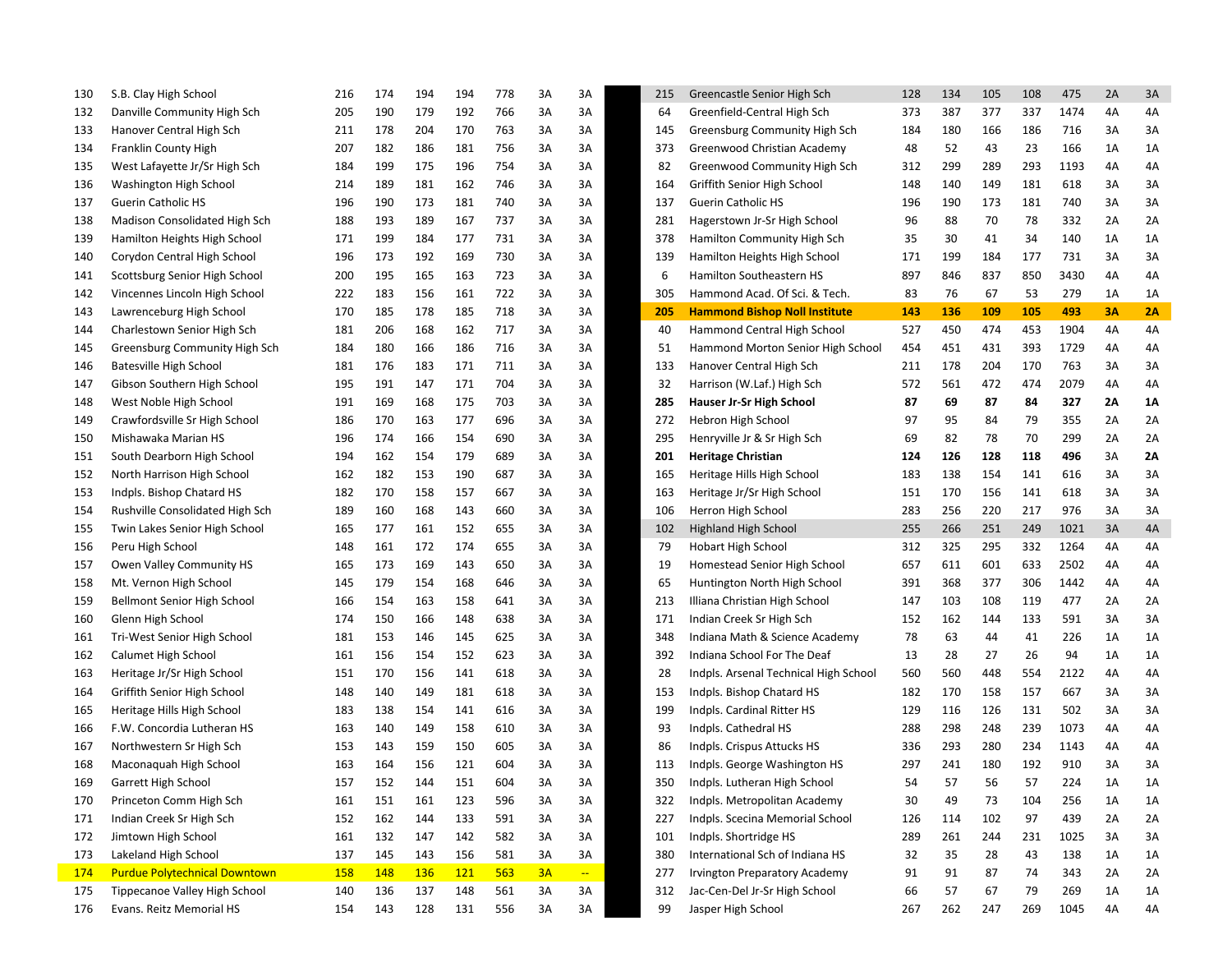| 130 | S.B. Clay High School                | 216        | 174 | 194 | 194        | 778 | 3A | 3A | 215 | Greencastle Senior High Sch           | 128 | 134 | 105 | 108 | 475  | 2A | 3A |
|-----|--------------------------------------|------------|-----|-----|------------|-----|----|----|-----|---------------------------------------|-----|-----|-----|-----|------|----|----|
| 132 | Danville Community High Sch          | 205        | 190 | 179 | 192        | 766 | 3A | 3A | 64  | Greenfield-Central High Sch           | 373 | 387 | 377 | 337 | 1474 | 4A | 4A |
| 133 | Hanover Central High Sch             | 211        | 178 | 204 | 170        | 763 | 3A | 3A | 145 | Greensburg Community High Sch         | 184 | 180 | 166 | 186 | 716  | 3A | 3A |
| 134 | Franklin County High                 | 207        | 182 | 186 | 181        | 756 | 3A | 3A | 373 | Greenwood Christian Academy           | 48  | 52  | 43  | 23  | 166  | 1A | 1A |
| 135 | West Lafayette Jr/Sr High Sch        | 184        | 199 | 175 | 196        | 754 | ЗΑ | 3A | 82  | Greenwood Community High Sch          | 312 | 299 | 289 | 293 | 1193 | 4A | 4A |
| 136 | Washington High School               | 214        | 189 | 181 | 162        | 746 | 3A | 3A | 164 | Griffith Senior High School           | 148 | 140 | 149 | 181 | 618  | 3A | 3A |
| 137 | <b>Guerin Catholic HS</b>            | 196        | 190 | 173 | 181        | 740 | 3A | 3A | 137 | <b>Guerin Catholic HS</b>             | 196 | 190 | 173 | 181 | 740  | 3A | 3A |
| 138 | Madison Consolidated High Sch        | 188        | 193 | 189 | 167        | 737 | 3A | 3A | 281 | Hagerstown Jr-Sr High School          | 96  | 88  | 70  | 78  | 332  | 2A | 2A |
| 139 | Hamilton Heights High School         | 171        | 199 | 184 | 177        | 731 | 3A | 3A | 378 | Hamilton Community High Sch           | 35  | 30  | 41  | 34  | 140  | 1A | 1A |
| 140 | Corydon Central High School          | 196        | 173 | 192 | 169        | 730 | 3A | 3A | 139 | Hamilton Heights High School          | 171 | 199 | 184 | 177 | 731  | 3A | 3A |
| 141 | Scottsburg Senior High School        | 200        | 195 | 165 | 163        | 723 | 3A | 3A | 6   | Hamilton Southeastern HS              | 897 | 846 | 837 | 850 | 3430 | 4A | 4A |
| 142 | Vincennes Lincoln High School        | 222        | 183 | 156 | 161        | 722 | 3A | 3A | 305 | Hammond Acad. Of Sci. & Tech.         | 83  | 76  | 67  | 53  | 279  | 1A | 1A |
| 143 | Lawrenceburg High School             | 170        | 185 | 178 | 185        | 718 | ЗA | 3A | 205 | <b>Hammond Bishop Noll Institute</b>  | 143 | 136 | 109 | 105 | 493  | 3Α | 2A |
| 144 | Charlestown Senior High Sch          | 181        | 206 | 168 | 162        | 717 | 3A | 3A | 40  | Hammond Central High School           | 527 | 450 | 474 | 453 | 1904 | 4A | 4A |
| 145 | Greensburg Community High Sch        | 184        | 180 | 166 | 186        | 716 | 3A | 3A | 51  | Hammond Morton Senior High School     | 454 | 451 | 431 | 393 | 1729 | 4A | 4A |
| 146 | Batesville High School               | 181        | 176 | 183 | 171        | 711 | 3A | 3A | 133 | Hanover Central High Sch              | 211 | 178 | 204 | 170 | 763  | 3A | 3A |
| 147 | Gibson Southern High School          | 195        | 191 | 147 | 171        | 704 | 3A | 3A | 32  | Harrison (W.Laf.) High Sch            | 572 | 561 | 472 | 474 | 2079 | 4A | 4A |
| 148 | West Noble High School               | 191        | 169 | 168 | 175        | 703 | 3A | 3A | 285 | Hauser Jr-Sr High School              | 87  | 69  | 87  | 84  | 327  | 2Α | 1Α |
| 149 | Crawfordsville Sr High School        | 186        | 170 | 163 | 177        | 696 | 3A | 3A | 272 | Hebron High School                    | 97  | 95  | 84  | 79  | 355  | 2A | 2A |
| 150 | Mishawaka Marian HS                  | 196        | 174 | 166 | 154        | 690 | 3A | 3A | 295 | Henryville Jr & Sr High Sch           | 69  | 82  | 78  | 70  | 299  | 2A | 2A |
| 151 | South Dearborn High School           | 194        | 162 | 154 | 179        | 689 | ЗΑ | 3A | 201 | <b>Heritage Christian</b>             | 124 | 126 | 128 | 118 | 496  | 3A | 2Α |
| 152 | North Harrison High School           | 162        | 182 | 153 | 190        | 687 | ЗΑ | 3A | 165 | Heritage Hills High School            | 183 | 138 | 154 | 141 | 616  | 3A | 3A |
| 153 | Indpls. Bishop Chatard HS            | 182        | 170 | 158 | 157        | 667 | ЗA | 3A | 163 | Heritage Jr/Sr High School            | 151 | 170 | 156 | 141 | 618  | 3A | 3A |
| 154 | Rushville Consolidated High Sch      | 189        | 160 | 168 | 143        | 660 | ЗA | 3A | 106 | Herron High School                    | 283 | 256 | 220 | 217 | 976  | 3A | 3A |
| 155 | Twin Lakes Senior High School        | 165        | 177 | 161 | 152        | 655 | ЗA | 3A | 102 | Highland High School                  | 255 | 266 | 251 | 249 | 1021 | 3A | 4A |
| 156 | Peru High School                     | 148        | 161 | 172 | 174        | 655 | ЗA | 3A | 79  | <b>Hobart High School</b>             | 312 | 325 | 295 | 332 | 1264 | 4A | 4A |
| 157 | Owen Valley Community HS             | 165        | 173 | 169 | 143        | 650 | ЗA | 3A | 19  | Homestead Senior High School          | 657 | 611 | 601 | 633 | 2502 | 4A | 4A |
| 158 | Mt. Vernon High School               | 145        | 179 | 154 | 168        | 646 | 3A | 3A | 65  | Huntington North High School          | 391 | 368 | 377 | 306 | 1442 | 4A | 4A |
| 159 | Bellmont Senior High School          | 166        | 154 | 163 | 158        | 641 | ЗA | 3A | 213 | Illiana Christian High School         | 147 | 103 | 108 | 119 | 477  | 2A | 2A |
| 160 | Glenn High School                    | 174        | 150 | 166 | 148        | 638 | ЗA | 3A | 171 | Indian Creek Sr High Sch              | 152 | 162 | 144 | 133 | 591  | 3A | 3A |
| 161 | Tri-West Senior High School          | 181        | 153 | 146 | 145        | 625 | ЗA | 3A | 348 | Indiana Math & Science Academy        | 78  | 63  | 44  | 41  | 226  | 1A | 1A |
| 162 | Calumet High School                  | 161        | 156 | 154 | 152        | 623 | ЗA | 3A | 392 | Indiana School For The Deaf           | 13  | 28  | 27  | 26  | 94   | 1A | 1A |
| 163 | Heritage Jr/Sr High School           | 151        | 170 | 156 | 141        | 618 | ЗA | 3A | 28  | Indpls. Arsenal Technical High School | 560 | 560 | 448 | 554 | 2122 | 4A | 4A |
| 164 | Griffith Senior High School          | 148        | 140 | 149 | 181        | 618 | 3A | 3A | 153 | Indpls. Bishop Chatard HS             | 182 | 170 | 158 | 157 | 667  | 3A | 3A |
| 165 | Heritage Hills High School           | 183        | 138 | 154 | 141        | 616 | ЗA | 3A | 199 | Indpls. Cardinal Ritter HS            | 129 | 116 | 126 | 131 | 502  | 3A | 3A |
| 166 | F.W. Concordia Lutheran HS           | 163        | 140 | 149 | 158        | 610 | 3A | 3A | 93  | Indpls. Cathedral HS                  | 288 | 298 | 248 | 239 | 1073 | 4A | 4A |
| 167 | Northwestern Sr High Sch             | 153        | 143 | 159 | 150        | 605 | 3A | 3A | 86  | Indpls. Crispus Attucks HS            | 336 | 293 | 280 | 234 | 1143 | 4A | 4A |
| 168 | Maconaguah High School               | 163        | 164 | 156 | 121        | 604 | 3A | 3A | 113 | Indpls. George Washington HS          | 297 | 241 | 180 | 192 | 910  | 3A | 3A |
| 169 | Garrett High School                  | 157        | 152 | 144 | 151        | 604 | 3A | ЗΑ | 350 | Indpls. Lutheran High School          | 54  | 57  | 56  | 57  | 224  | 1A | 1A |
| 170 | Princeton Comm High Sch              | 161        | 151 | 161 | 123        | 596 | 3A | 3A | 322 | Indpls. Metropolitan Academy          | 30  | 49  | 73  | 104 | 256  | 1A | 1A |
| 171 | Indian Creek Sr High Sch             | 152        | 162 | 144 | 133        | 591 | 3A | 3A | 227 | Indpls. Scecina Memorial School       | 126 | 114 | 102 | 97  | 439  | 2A | 2A |
| 172 | Jimtown High School                  | 161        | 132 | 147 | 142        | 582 | 3A | 3A | 101 | Indpls. Shortridge HS                 | 289 | 261 | 244 | 231 | 1025 | 3A | 3A |
| 173 | Lakeland High School                 | 137        | 145 | 143 | 156        | 581 | 3A | 3A | 380 | International Sch of Indiana HS       | 32  | 35  | 28  | 43  | 138  | 1A | 1A |
| 174 | <b>Purdue Polytechnical Downtown</b> | <b>158</b> | 148 | 136 | <b>121</b> | 563 | 3A |    | 277 | <b>Irvington Preparatory Academy</b>  | 91  | 91  | 87  | 74  | 343  | 2A | 2A |
| 175 | Tippecanoe Valley High School        | 140        | 136 | 137 | 148        | 561 | 3A | 3A | 312 | Jac-Cen-Del Jr-Sr High School         | 66  | 57  | 67  | 79  | 269  | 1A | 1A |
| 176 | Evans. Reitz Memorial HS             | 154        | 143 | 128 | 131        | 556 | 3A | 3A | 99  | Jasper High School                    | 267 | 262 | 247 | 269 | 1045 | 4A | 4А |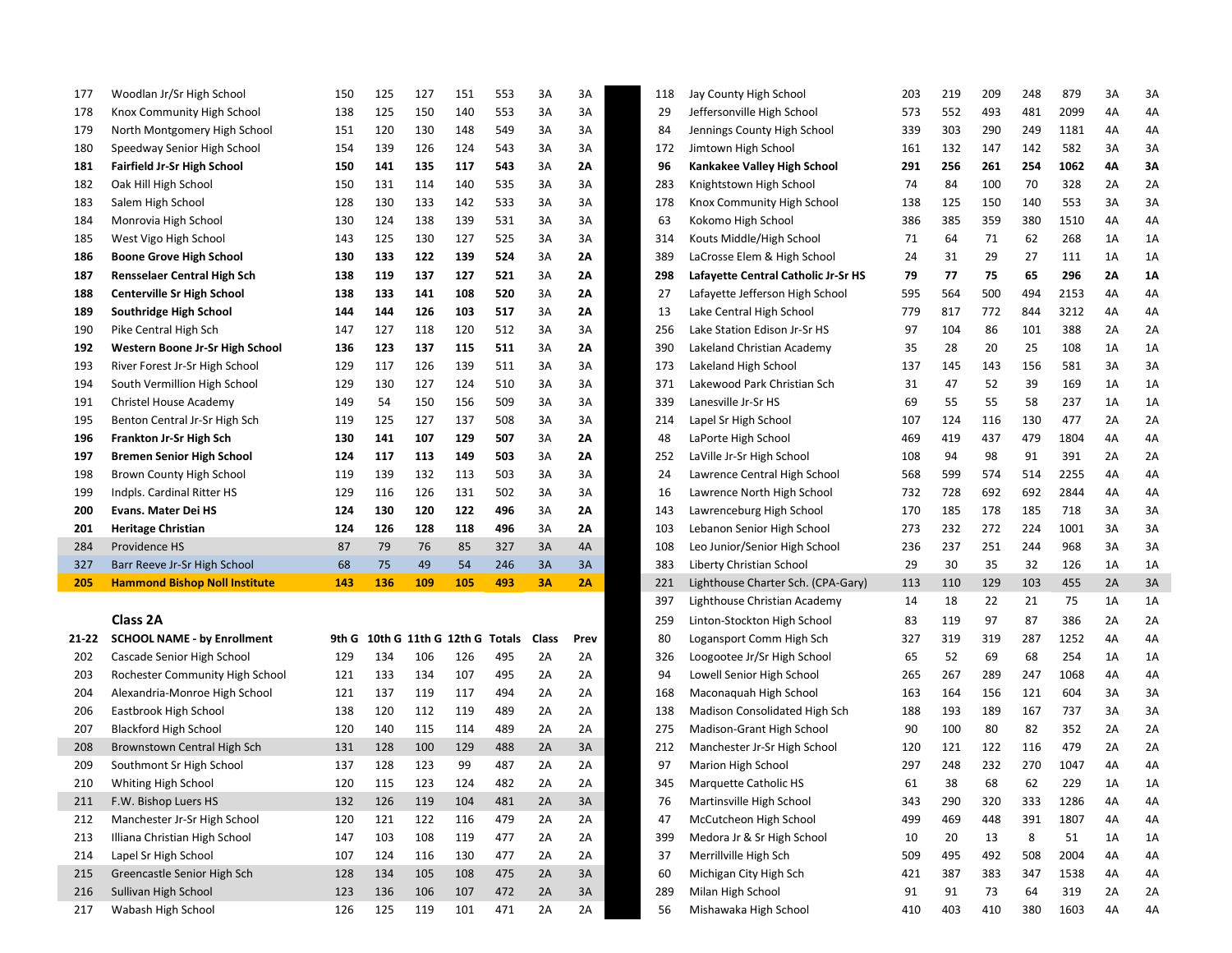| 177   | Woodlan Jr/Sr High School            | 150   | 125 | 127 | 151                         | 553 | 3A           | 3A   | 118 | Jay County High School              | 203 | 219 | 209 | 248 | 879  | 3A | 3A |
|-------|--------------------------------------|-------|-----|-----|-----------------------------|-----|--------------|------|-----|-------------------------------------|-----|-----|-----|-----|------|----|----|
| 178   | Knox Community High School           | 138   | 125 | 150 | 140                         | 553 | 3A           | 3A   | 29  | Jeffersonville High School          | 573 | 552 | 493 | 481 | 2099 | 4A | 4A |
| 179   | North Montgomery High School         | 151   | 120 | 130 | 148                         | 549 | 3A           | 3A   | 84  | Jennings County High School         | 339 | 303 | 290 | 249 | 1181 | 4A | 4A |
| 180   | Speedway Senior High School          | 154   | 139 | 126 | 124                         | 543 | 3A           | 3A   | 172 | Jimtown High School                 | 161 | 132 | 147 | 142 | 582  | 3A | 3A |
| 181   | <b>Fairfield Jr-Sr High School</b>   | 150   | 141 | 135 | 117                         | 543 | 3A           | 2A   | 96  | Kankakee Valley High School         | 291 | 256 | 261 | 254 | 1062 | 4Α | 3A |
| 182   | Oak Hill High School                 | 150   | 131 | 114 | 140                         | 535 | 3A           | 3A   | 283 | Knightstown High School             | 74  | 84  | 100 | 70  | 328  | 2A | 2A |
| 183   | Salem High School                    | 128   | 130 | 133 | 142                         | 533 | 3A           | 3A   | 178 | Knox Community High School          | 138 | 125 | 150 | 140 | 553  | 3A | 3A |
| 184   | Monrovia High School                 | 130   | 124 | 138 | 139                         | 531 | 3A           | 3A   | 63  | Kokomo High School                  | 386 | 385 | 359 | 380 | 1510 | 4A | 4A |
| 185   | West Vigo High School                | 143   | 125 | 130 | 127                         | 525 | 3A           | 3A   | 314 | Kouts Middle/High School            | 71  | 64  | 71  | 62  | 268  | 1A | 1A |
| 186   | <b>Boone Grove High School</b>       | 130   | 133 | 122 | 139                         | 524 | 3A           | 2A   | 389 | LaCrosse Elem & High School         | 24  | 31  | 29  | 27  | 111  | 1A | 1A |
| 187   | <b>Rensselaer Central High Sch</b>   | 138   | 119 | 137 | 127                         | 521 | 3A           | 2A   | 298 | Lafayette Central Catholic Jr-Sr HS | 79  | 77  | 75  | 65  | 296  | 2A | 1Α |
| 188   | <b>Centerville Sr High School</b>    | 138   | 133 | 141 | 108                         | 520 | 3A           | 2A   | 27  | Lafayette Jefferson High School     | 595 | 564 | 500 | 494 | 2153 | 4A | 4A |
| 189   | Southridge High School               | 144   | 144 | 126 | 103                         | 517 | 3A           | 2Α   | 13  | Lake Central High School            | 779 | 817 | 772 | 844 | 3212 | 4A | 4A |
| 190   | Pike Central High Sch                | 147   | 127 | 118 | 120                         | 512 | 3A           | 3A   | 256 | Lake Station Edison Jr-Sr HS        | 97  | 104 | 86  | 101 | 388  | 2A | 2A |
| 192   | Western Boone Jr-Sr High School      | 136   | 123 | 137 | 115                         | 511 | 3A           | 2Α   | 390 | Lakeland Christian Academy          | 35  | 28  | 20  | 25  | 108  | 1A | 1A |
| 193   | River Forest Jr-Sr High School       | 129   | 117 | 126 | 139                         | 511 | 3A           | 3A   | 173 | Lakeland High School                | 137 | 145 | 143 | 156 | 581  | 3A | 3A |
| 194   | South Vermillion High School         | 129   | 130 | 127 | 124                         | 510 | 3A           | 3A   | 371 | Lakewood Park Christian Sch         | 31  | 47  | 52  | 39  | 169  | 1A | 1A |
| 191   | Christel House Academy               | 149   | 54  | 150 | 156                         | 509 | 3A           | 3A   | 339 | Lanesville Jr-Sr HS                 | 69  | 55  | 55  | 58  | 237  | 1A | 1A |
| 195   | Benton Central Jr-Sr High Sch        | 119   | 125 | 127 | 137                         | 508 | 3A           | 3A   | 214 | Lapel Sr High School                | 107 | 124 | 116 | 130 | 477  | 2A | 2A |
| 196   | Frankton Jr-Sr High Sch              | 130   | 141 | 107 | 129                         | 507 | 3A           | 2A   | 48  | LaPorte High School                 | 469 | 419 | 437 | 479 | 1804 | 4A | 4A |
| 197   | <b>Bremen Senior High School</b>     | 124   | 117 | 113 | 149                         | 503 | 3A           | 2A   | 252 | LaVille Jr-Sr High School           | 108 | 94  | 98  | 91  | 391  | 2A | 2A |
| 198   | Brown County High School             | 119   | 139 | 132 | 113                         | 503 | 3A           | 3A   | 24  | Lawrence Central High School        | 568 | 599 | 574 | 514 | 2255 | 4A | 4A |
| 199   | Indpls. Cardinal Ritter HS           | 129   | 116 | 126 | 131                         | 502 | 3A           | 3A   | 16  | Lawrence North High School          | 732 | 728 | 692 | 692 | 2844 | 4A | 4A |
| 200   | <b>Evans. Mater Dei HS</b>           | 124   | 130 | 120 | 122                         | 496 | 3A           | 2A   | 143 | Lawrenceburg High School            | 170 | 185 | 178 | 185 | 718  | 3A | 3A |
| 201   | <b>Heritage Christian</b>            | 124   | 126 | 128 | 118                         | 496 | 3A           | 2A   | 103 | Lebanon Senior High School          | 273 | 232 | 272 | 224 | 1001 | 3A | 3A |
| 284   | Providence HS                        | 87    | 79  | 76  | 85                          | 327 | 3A           | 4A   | 108 | Leo Junior/Senior High School       | 236 | 237 | 251 | 244 | 968  | 3A | 3A |
| 327   | Barr Reeve Jr-Sr High School         | 68    | 75  | 49  | 54                          | 246 | 3A           | 3A   | 383 | Liberty Christian School            | 29  | 30  | 35  | 32  | 126  | 1A | 1A |
| 205   | <b>Hammond Bishop Noll Institute</b> | 143   | 136 | 109 | 105                         | 493 | <b>3A</b>    | 2A   | 221 | Lighthouse Charter Sch. (CPA-Gary)  | 113 | 110 | 129 | 103 | 455  | 2A | 3A |
|       |                                      |       |     |     |                             |     |              |      | 397 | Lighthouse Christian Academy        | 14  | 18  | 22  | 21  | 75   | 1A | 1A |
|       | Class 2A                             |       |     |     |                             |     |              |      | 259 | Linton-Stockton High School         | 83  | 119 | 97  | 87  | 386  | 2A | 2A |
| 21-22 | <b>SCHOOL NAME - by Enrollment</b>   | 9th G |     |     | 10th G 11th G 12th G Totals |     | <b>Class</b> | Prev | 80  | Logansport Comm High Sch            | 327 | 319 | 319 | 287 | 1252 | 4A | 4A |
| 202   | Cascade Senior High School           | 129   | 134 | 106 | 126                         | 495 | 2A           | 2A   | 326 | Loogootee Jr/Sr High School         | 65  | 52  | 69  | 68  | 254  | 1A | 1A |
| 203   | Rochester Community High School      | 121   | 133 | 134 | 107                         | 495 | 2A           | 2A   | 94  | Lowell Senior High School           | 265 | 267 | 289 | 247 | 1068 | 4A | 4A |
| 204   | Alexandria-Monroe High School        | 121   | 137 | 119 | 117                         | 494 | 2A           | 2A   | 168 | Maconaquah High School              | 163 | 164 | 156 | 121 | 604  | 3A | 3A |
| 206   | Eastbrook High School                | 138   | 120 | 112 | 119                         | 489 | 2A           | 2A   | 138 | Madison Consolidated High Sch       | 188 | 193 | 189 | 167 | 737  | 3A | 3A |
| 207   | <b>Blackford High School</b>         | 120   | 140 | 115 | 114                         | 489 | 2A           | 2A   | 275 | Madison-Grant High School           | 90  | 100 | 80  | 82  | 352  | 2A | 2A |
| 208   | Brownstown Central High Sch          | 131   | 128 | 100 | 129                         | 488 | 2A           | 3A   | 212 | Manchester Jr-Sr High School        | 120 | 121 | 122 | 116 | 479  | 2A | 2A |
| 209   | Southmont Sr High School             | 137   | 128 | 123 | 99                          | 487 | 2A           | 2A   | 97  | Marion High School                  | 297 | 248 | 232 | 270 | 1047 | 4A | 4A |
| 210   | Whiting High School                  | 120   | 115 | 123 | 124                         | 482 | 2A           | 2A   | 345 | Marquette Catholic HS               | 61  | 38  | 68  | 62  | 229  | ΊA | 1A |
| 211   | F.W. Bishop Luers HS                 | 132   | 126 | 119 | 104                         | 481 | 2A           | 3A   | 76  | Martinsville High School            | 343 | 290 | 320 | 333 | 1286 | 4A | 4A |
| 212   | Manchester Jr-Sr High School         | 120   | 121 | 122 | 116                         | 479 | 2A           | 2A   | 47  | McCutcheon High School              | 499 | 469 | 448 | 391 | 1807 | 4A | 4A |
| 213   | Illiana Christian High School        | 147   | 103 | 108 | 119                         | 477 | 2A           | 2A   | 399 | Medora Jr & Sr High School          | 10  | 20  | 13  | 8   | 51   | 1A | 1A |
| 214   | Lapel Sr High School                 | 107   | 124 | 116 | 130                         | 477 | 2A           | 2A   | 37  | Merrillville High Sch               | 509 | 495 | 492 | 508 | 2004 | 4A | 4A |
| 215   | Greencastle Senior High Sch          | 128   | 134 | 105 | 108                         | 475 | 2A           | 3A   | 60  | Michigan City High Sch              | 421 | 387 | 383 | 347 | 1538 | 4A | 4A |
| 216   | Sullivan High School                 | 123   | 136 | 106 | 107                         | 472 | 2A           | 3A   | 289 | Milan High School                   | 91  | 91  | 73  | 64  | 319  | 2A | 2A |
| 217   | Wabash High School                   | 126   | 125 | 119 | 101                         | 471 | 2A           | 2A   | 56  | Mishawaka High School               | 410 | 403 | 410 | 380 | 1603 | 4A | 4A |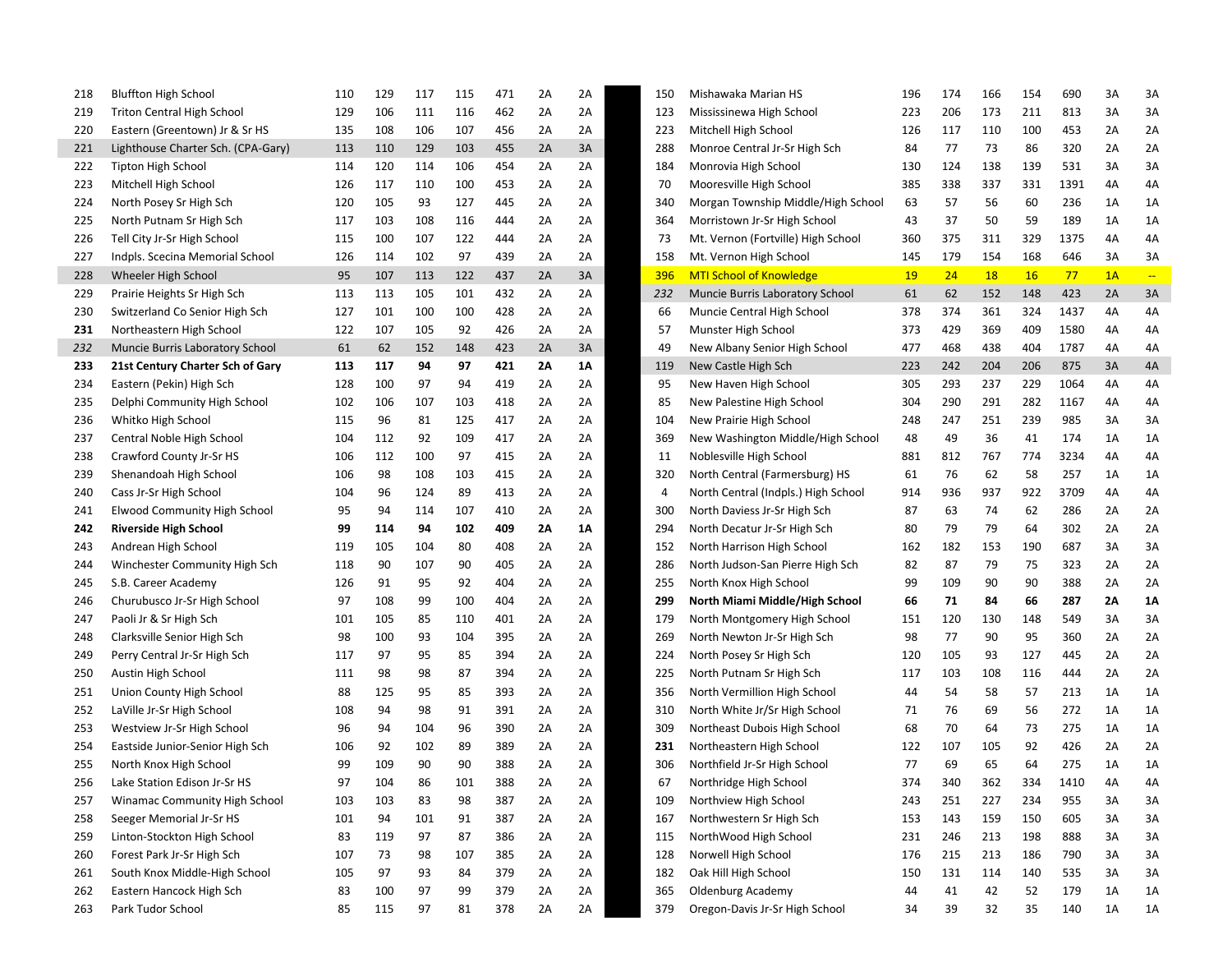| 218        | <b>Bluffton High School</b>                   | 110 | 129 | 117 | 115 | 471 | 2A | 2A | 150 | Mishawaka Marian HS                                        | 196 | 174 | 166       | 154       | 690  | 3A | 3A                      |
|------------|-----------------------------------------------|-----|-----|-----|-----|-----|----|----|-----|------------------------------------------------------------|-----|-----|-----------|-----------|------|----|-------------------------|
| 219        | <b>Triton Central High School</b>             | 129 | 106 | 111 | 116 | 462 | 2A | 2A | 123 | Mississinewa High School                                   | 223 | 206 | 173       | 211       | 813  | 3A | 3A                      |
| 220        | Eastern (Greentown) Jr & Sr HS                | 135 | 108 | 106 | 107 | 456 | 2A | 2A | 223 | Mitchell High School                                       | 126 | 117 | 110       | 100       | 453  | 2A | 2A                      |
| 221        | Lighthouse Charter Sch. (CPA-Gary)            | 113 | 110 | 129 | 103 | 455 | 2A | 3A | 288 | Monroe Central Jr-Sr High Sch                              | 84  | 77  | 73        | 86        | 320  | 2A | 2A                      |
| 222        | <b>Tipton High School</b>                     | 114 | 120 | 114 | 106 | 454 | 2A | 2A | 184 | Monrovia High School                                       | 130 | 124 | 138       | 139       | 531  | 3A | 3A                      |
| 223        | Mitchell High School                          | 126 | 117 | 110 | 100 | 453 | 2A | 2A | 70  | Mooresville High School                                    | 385 | 338 | 337       | 331       | 1391 | 4A | 4A                      |
| 224        | North Posey Sr High Sch                       | 120 | 105 | 93  | 127 | 445 | 2A | 2A | 340 | Morgan Township Middle/High School                         | 63  | 57  | 56        | 60        | 236  | 1A | 1A                      |
| 225        | North Putnam Sr High Sch                      | 117 | 103 | 108 | 116 | 444 | 2A | 2A | 364 | Morristown Jr-Sr High School                               | 43  | 37  | 50        | 59        | 189  | 1A | 1A                      |
| 226        | Tell City Jr-Sr High School                   | 115 | 100 | 107 | 122 | 444 | 2A | 2A | 73  | Mt. Vernon (Fortville) High School                         | 360 | 375 | 311       | 329       | 1375 | 4A | 4A                      |
| 227        | Indpls. Scecina Memorial School               | 126 | 114 | 102 | 97  | 439 | 2A | 2A | 158 | Mt. Vernon High School                                     | 145 | 179 | 154       | 168       | 646  | 3A | 3A                      |
| 228        | Wheeler High School                           | 95  | 107 | 113 | 122 | 437 | 2A | 3A | 396 | <b>MTI School of Knowledge</b>                             | 19  | 24  | <b>18</b> | <b>16</b> | 77   | 1A | $\mathbb{L} \mathbb{L}$ |
| 229        | Prairie Heights Sr High Sch                   | 113 | 113 | 105 | 101 | 432 | 2A | 2A | 232 | Muncie Burris Laboratory School                            | 61  | 62  | 152       | 148       | 423  | 2A | 3A                      |
| 230        | Switzerland Co Senior High Sch                | 127 | 101 | 100 | 100 | 428 | 2A | 2A | 66  | Muncie Central High School                                 | 378 | 374 | 361       | 324       | 1437 | 4A | 4A                      |
| 231        | Northeastern High School                      | 122 | 107 | 105 | 92  | 426 | 2A | 2A | 57  | Munster High School                                        | 373 | 429 | 369       | 409       | 1580 | 4A | 4Α                      |
| 232        | Muncie Burris Laboratory School               | 61  | 62  | 152 | 148 | 423 | 2A | 3A | 49  | New Albany Senior High School                              | 477 | 468 | 438       | 404       | 1787 | 4A | 4Α                      |
| 233        | 21st Century Charter Sch of Gary              | 113 | 117 | 94  | 97  | 421 | 2Λ | 1Α | 119 | New Castle High Sch                                        | 223 | 242 | 204       | 206       | 875  | 3A | 4A                      |
| 234        | Eastern (Pekin) High Sch                      | 128 | 100 | 97  | 94  | 419 | 2A | 2A | 95  | New Haven High School                                      | 305 | 293 | 237       | 229       | 1064 | 4A | 4A                      |
| 235        | Delphi Community High School                  | 102 | 106 | 107 | 103 | 418 | 2A | 2A | 85  | New Palestine High School                                  | 304 | 290 | 291       | 282       | 1167 | 4A | 4A                      |
| 236        | Whitko High School                            | 115 | 96  | 81  | 125 | 417 | 2A | 2A | 104 | New Prairie High School                                    | 248 | 247 | 251       | 239       | 985  | 3A | 3A                      |
| 237        | Central Noble High School                     | 104 | 112 | 92  | 109 | 417 | 2A | 2A | 369 | New Washington Middle/High School                          | 48  | 49  | 36        | 41        | 174  | 1A | 1A                      |
| 238        | Crawford County Jr-Sr HS                      | 106 | 112 | 100 | 97  | 415 | 2A | 2A | 11  | Noblesville High School                                    | 881 | 812 | 767       | 774       | 3234 | 4A | 4Α                      |
| 239        | Shenandoah High School                        | 106 | 98  | 108 | 103 | 415 | 2A | 2A | 320 | North Central (Farmersburg) HS                             | 61  | 76  | 62        | 58        | 257  | 1A | 1A                      |
| 240        | Cass Jr-Sr High School                        | 104 | 96  | 124 | 89  | 413 | 2A | 2A | 4   | North Central (Indpls.) High School                        | 914 | 936 | 937       | 922       | 3709 | 4A | 4A                      |
|            |                                               |     |     |     |     |     |    |    | 300 |                                                            |     |     |           |           |      |    |                         |
| 241        | Elwood Community High School                  | 95  | 94  | 114 | 107 | 410 | 2A | 2A |     | North Daviess Jr-Sr High Sch                               | 87  | 63  | 74        | 62        | 286  | 2A | 2A                      |
| 242        | <b>Riverside High School</b>                  | 99  | 114 | 94  | 102 | 409 | 2Λ | 1Α | 294 | North Decatur Jr-Sr High Sch                               | 80  | 79  | 79        | 64        | 302  | 2A | 2A                      |
| 243        | Andrean High School                           | 119 | 105 | 104 | 80  | 408 | 2A | 2A | 152 | North Harrison High School                                 | 162 | 182 | 153       | 190       | 687  | 3A | 3A                      |
| 244        | Winchester Community High Sch                 | 118 | 90  | 107 | 90  | 405 | 2A | 2A | 286 | North Judson-San Pierre High Sch                           | 82  | 87  | 79        | 75        | 323  | 2A | 2A                      |
| 245        | S.B. Career Academy                           | 126 | 91  | 95  | 92  | 404 | 2A | 2A | 255 | North Knox High School                                     | 99  | 109 | 90        | 90        | 388  | 2A | 2A                      |
| 246        | Churubusco Jr-Sr High School                  | 97  | 108 | 99  | 100 | 404 | 2A | 2A | 299 | North Miami Middle/High School                             | 66  | 71  | 84        | 66        | 287  | 2Α | 1Α                      |
| 247        | Paoli Jr & Sr High Sch                        | 101 | 105 | 85  | 110 | 401 | 2A | 2A | 179 | North Montgomery High School                               | 151 | 120 | 130       | 148       | 549  | 3A | 3A                      |
| 248        | Clarksville Senior High Sch                   | 98  | 100 | 93  | 104 | 395 | 2A | 2A | 269 | North Newton Jr-Sr High Sch                                | 98  | 77  | 90        | 95        | 360  | 2A | 2A                      |
| 249        | Perry Central Jr-Sr High Sch                  | 117 | 97  | 95  | 85  | 394 | 2A | 2A | 224 | North Posey Sr High Sch                                    | 120 | 105 | 93        | 127       | 445  | 2A | 2A                      |
| 250        | Austin High School                            | 111 | 98  | 98  | 87  | 394 | 2A | 2A | 225 | North Putnam Sr High Sch                                   | 117 | 103 | 108       | 116       | 444  | 2A | 2A                      |
| 251        | Union County High School                      | 88  | 125 | 95  | 85  | 393 | 2A | 2A | 356 | North Vermillion High School                               | 44  | 54  | 58        | 57        | 213  | 1A | 1A                      |
| 252        | LaVille Jr-Sr High School                     | 108 | 94  | 98  | 91  | 391 | 2A | 2A | 310 | North White Jr/Sr High School                              | 71  | 76  | 69        | 56        | 272  | 1A | 1A                      |
| 253        | Westview Jr-Sr High School                    | 96  | 94  | 104 | 96  | 390 | 2A | 2A | 309 | Northeast Dubois High School                               | 68  | 70  | 64        | 73        | 275  | 1A | 1A                      |
| 254        | Eastside Junior-Senior High Sch               | 106 | 92  | 102 | 89  | 389 | 2A | 2A | 231 | Northeastern High School                                   | 122 | 107 | 105       | 92        | 426  | 2A | 2A                      |
| 255        | North Knox High School                        | 99  | 109 | 90  | 90  | 388 | 2A | 2A | 306 | Northfield Jr-Sr High School                               | 77  | 69  | 65        | 64        | 275  | 1A | 1A                      |
| 256        | Lake Station Edison Jr-Sr HS                  | 97  | 104 | 86  | 101 | 388 | 2A | 2A | 67  | Northridge High School                                     | 374 | 340 | 362       | 334       | 1410 | 4A | 4А                      |
| 257        | Winamac Community High School                 | 103 | 103 | 83  | 98  | 387 | 2A | 2A | 109 | Northview High School                                      | 243 | 251 | 227       | 234       | 955  | 3A | 3A                      |
| 258        | Seeger Memorial Jr-Sr HS                      | 101 | 94  | 101 | 91  | 387 | 2A | 2A | 167 | Northwestern Sr High Sch                                   | 153 | 143 | 159       | 150       | 605  | 3A | 3A                      |
| 259        | Linton-Stockton High School                   | 83  | 119 | 97  | 87  | 386 | 2A | 2A | 115 | NorthWood High School                                      | 231 | 246 | 213       | 198       | 888  | 3A | 3A                      |
| 260        | Forest Park Jr-Sr High Sch                    | 107 | 73  | 98  | 107 | 385 | 2A | 2A | 128 | Norwell High School                                        | 176 | 215 | 213       | 186       | 790  | 3A | 3A                      |
| 261        | South Knox Middle-High School                 | 105 | 97  | 93  | 84  | 379 | 2A | 2A | 182 | Oak Hill High School                                       | 150 | 131 | 114       | 140       | 535  | 3A | 3A                      |
| 262<br>263 | Eastern Hancock High Sch<br>Park Tudor School | 83  | 100 | 97  | 99  | 379 | 2A | 2A | 365 | <b>Oldenburg Academy</b><br>Oregon-Davis Jr-Sr High School | 44  | 41  | 42        | 52<br>35  | 179  | 1A | 1A                      |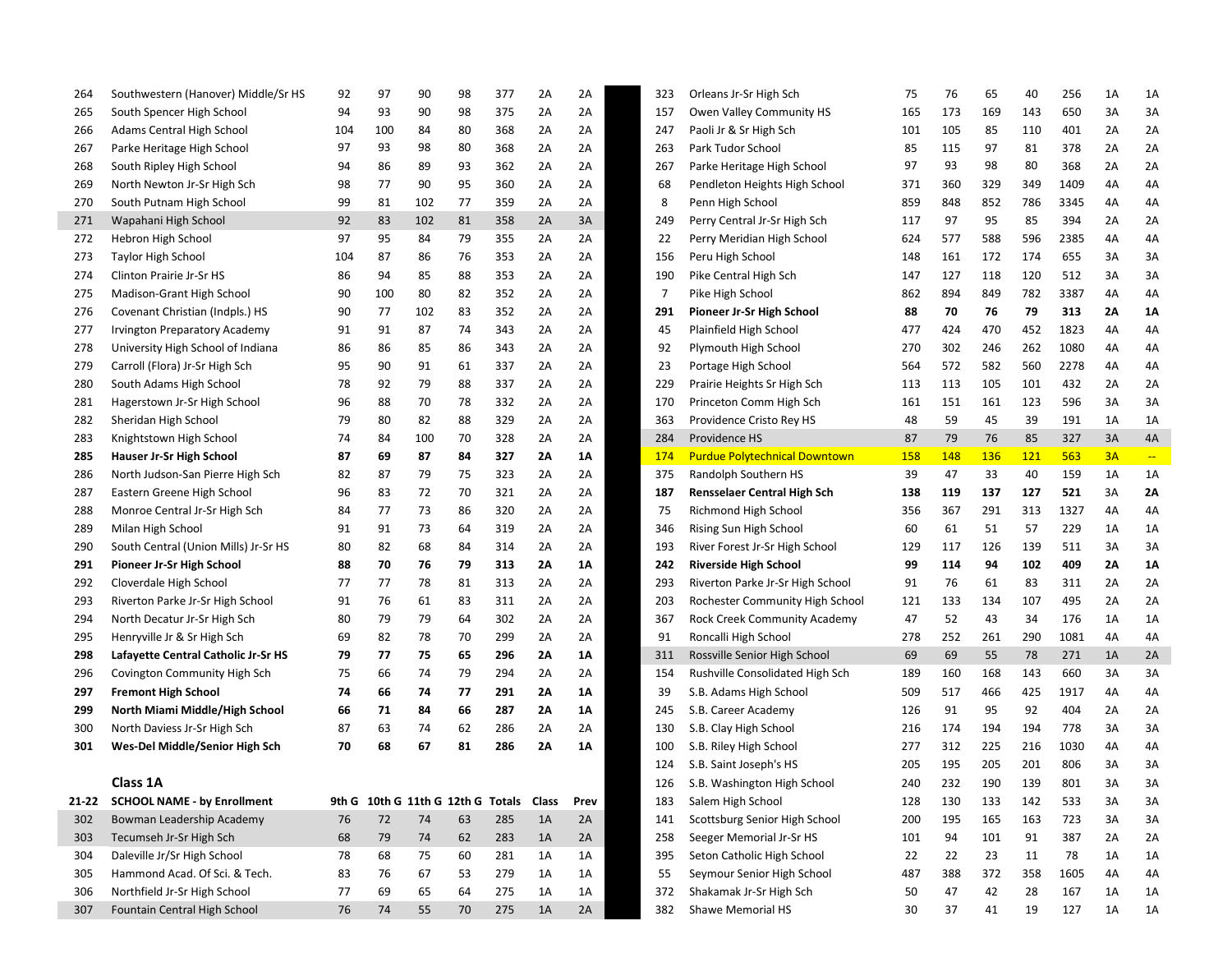| 264   | Southwestern (Hanover) Middle/Sr HS  | 92  | 97  | 90  | 98 | 377                                     | 2A        | 2A   | 323 | Orleans Jr-Sr High Sch               | 75         | 76  | 65         | 40         | 256  | 1A | 1A            |
|-------|--------------------------------------|-----|-----|-----|----|-----------------------------------------|-----------|------|-----|--------------------------------------|------------|-----|------------|------------|------|----|---------------|
| 265   | South Spencer High School            | 94  | 93  | 90  | 98 | 375                                     | 2A        | 2A   | 157 | Owen Valley Community HS             | 165        | 173 | 169        | 143        | 650  | 3A | 3A            |
| 266   | Adams Central High School            | 104 | 100 | 84  | 80 | 368                                     | 2A        | 2A   | 247 | Paoli Jr & Sr High Sch               | 101        | 105 | 85         | 110        | 401  | 2A | 2A            |
| 267   | Parke Heritage High School           | 97  | 93  | 98  | 80 | 368                                     | 2A        | 2A   | 263 | Park Tudor School                    | 85         | 115 | 97         | 81         | 378  | 2A | 2A            |
| 268   | South Ripley High School             | 94  | 86  | 89  | 93 | 362                                     | 2A        | 2A   | 267 | Parke Heritage High School           | 97         | 93  | 98         | 80         | 368  | 2A | 2A            |
| 269   | North Newton Jr-Sr High Sch          | 98  | 77  | 90  | 95 | 360                                     | 2A        | 2A   | 68  | Pendleton Heights High School        | 371        | 360 | 329        | 349        | 1409 | 4A | 4A            |
| 270   | South Putnam High School             | 99  | 81  | 102 | 77 | 359                                     | 2A        | 2A   | 8   | Penn High School                     | 859        | 848 | 852        | 786        | 3345 | 4A | 4A            |
| 271   | Wapahani High School                 | 92  | 83  | 102 | 81 | 358                                     | 2A        | 3A   | 249 | Perry Central Jr-Sr High Sch         | 117        | 97  | 95         | 85         | 394  | 2A | 2A            |
| 272   | Hebron High School                   | 97  | 95  | 84  | 79 | 355                                     | 2A        | 2A   | 22  | Perry Meridian High School           | 624        | 577 | 588        | 596        | 2385 | 4A | 4A            |
| 273   | <b>Taylor High School</b>            | 104 | 87  | 86  | 76 | 353                                     | 2A        | 2A   | 156 | Peru High School                     | 148        | 161 | 172        | 174        | 655  | 3A | 3A            |
| 274   | Clinton Prairie Jr-Sr HS             | 86  | 94  | 85  | 88 | 353                                     | 2A        | 2A   | 190 | Pike Central High Sch                | 147        | 127 | 118        | 120        | 512  | 3A | 3A            |
| 275   | Madison-Grant High School            | 90  | 100 | 80  | 82 | 352                                     | 2A        | 2A   | 7   | Pike High School                     | 862        | 894 | 849        | 782        | 3387 | 4A | 4A            |
| 276   | Covenant Christian (Indpls.) HS      | 90  | 77  | 102 | 83 | 352                                     | 2A        | 2A   | 291 | Pioneer Jr-Sr High School            | 88         | 70  | 76         | 79         | 313  | 2Α | 1A            |
| 277   | <b>Irvington Preparatory Academy</b> | 91  | 91  | 87  | 74 | 343                                     | 2A        | 2A   | 45  | Plainfield High School               | 477        | 424 | 470        | 452        | 1823 | 4A | 4A            |
| 278   | University High School of Indiana    | 86  | 86  | 85  | 86 | 343                                     | 2A        | 2A   | 92  | Plymouth High School                 | 270        | 302 | 246        | 262        | 1080 | 4А | 4A            |
| 279   | Carroll (Flora) Jr-Sr High Sch       | 95  | 90  | 91  | 61 | 337                                     | 2A        | 2A   | 23  | Portage High School                  | 564        | 572 | 582        | 560        | 2278 | 4Α | 4A            |
| 280   | South Adams High School              | 78  | 92  | 79  | 88 | 337                                     | 2A        | 2A   | 229 | Prairie Heights Sr High Sch          | 113        | 113 | 105        | 101        | 432  | 2A | 2A            |
| 281   | Hagerstown Jr-Sr High School         | 96  | 88  | 70  | 78 | 332                                     | 2A        | 2A   | 170 | Princeton Comm High Sch              | 161        | 151 | 161        | 123        | 596  | 3A | 3A            |
| 282   | Sheridan High School                 | 79  | 80  | 82  | 88 | 329                                     | 2A        | 2A   | 363 | Providence Cristo Rey HS             | 48         | 59  | 45         | 39         | 191  | 1A | 1A            |
| 283   | Knightstown High School              | 74  | 84  | 100 | 70 | 328                                     | 2A        | 2A   | 284 | Providence HS                        | 87         | 79  | 76         | 85         | 327  | 3A | 4A            |
| 285   | <b>Hauser Jr-Sr High School</b>      | 87  | 69  | 87  | 84 | 327                                     | 2Λ        | 1Α   | 174 | <b>Purdue Polytechnical Downtown</b> | <b>158</b> | 148 | <b>136</b> | <b>121</b> | 563  | 3A | $\rightarrow$ |
| 286   | North Judson-San Pierre High Sch     | 82  | 87  | 79  | 75 | 323                                     | 2A        | 2A   | 375 | Randolph Southern HS                 | 39         | 47  | 33         | 40         | 159  | 1A | 1A            |
| 287   | Eastern Greene High School           | 96  | 83  | 72  | 70 | 321                                     | 2A        | 2A   | 187 | <b>Rensselaer Central High Sch</b>   | 138        | 119 | 137        | 127        | 521  | 3A | 2Α            |
| 288   | Monroe Central Jr-Sr High Sch        | 84  | 77  | 73  | 86 | 320                                     | 2A        | 2A   | 75  | Richmond High School                 | 356        | 367 | 291        | 313        | 1327 | 4A | 4A            |
| 289   | Milan High School                    | 91  | 91  | 73  | 64 | 319                                     | 2A        | 2A   | 346 | Rising Sun High School               | 60         | 61  | 51         | 57         | 229  | 1A | 1A            |
| 290   | South Central (Union Mills) Jr-Sr HS | 80  | 82  | 68  | 84 | 314                                     | 2A        | 2A   | 193 | River Forest Jr-Sr High School       | 129        | 117 | 126        | 139        | 511  | 3A | 3A            |
| 291   | Pioneer Jr-Sr High School            | 88  | 70  | 76  | 79 | 313                                     | 2Α        | 1Α   | 242 | <b>Riverside High School</b>         | 99         | 114 | 94         | 102        | 409  | 2A | 1A            |
| 292   | Cloverdale High School               | 77  | 77  | 78  | 81 | 313                                     | 2A        | 2A   | 293 | Riverton Parke Jr-Sr High School     | 91         | 76  | 61         | 83         | 311  | 2A | 2A            |
| 293   | Riverton Parke Jr-Sr High School     | 91  | 76  | 61  | 83 | 311                                     | 2A        | 2A   | 203 | Rochester Community High School      | 121        | 133 | 134        | 107        | 495  | 2A | 2A            |
| 294   | North Decatur Jr-Sr High Sch         | 80  | 79  | 79  | 64 | 302                                     | 2A        | 2A   | 367 | Rock Creek Community Academy         | 47         | 52  | 43         | 34         | 176  | 1A | 1A            |
| 295   | Henryville Jr & Sr High Sch          | 69  | 82  | 78  | 70 | 299                                     | 2A        | 2A   | 91  | Roncalli High School                 | 278        | 252 | 261        | 290        | 1081 | 4A | 4A            |
| 298   | Lafayette Central Catholic Jr-Sr HS  | 79  | 77  | 75  | 65 | 296                                     | 2Α        | 1Α   | 311 | Rossville Senior High School         | 69         | 69  | 55         | 78         | 271  | 1A | 2A            |
| 296   | Covington Community High Sch         | 75  | 66  | 74  | 79 | 294                                     | 2A        | 2A   | 154 | Rushville Consolidated High Sch      | 189        | 160 | 168        | 143        | 660  | 3A | 3A            |
| 297   | <b>Fremont High School</b>           | 74  | 66  | 74  | 77 | 291                                     | 2Λ        | 1Α   | 39  | S.B. Adams High School               | 509        | 517 | 466        | 425        | 1917 | 4А | 4A            |
| 299   | North Miami Middle/High School       | 66  | 71  | 84  | 66 | 287                                     | <b>2A</b> | 1Α   | 245 | S.B. Career Academy                  | 126        | 91  | 95         | 92         | 404  | 2A | 2A            |
| 300   | North Daviess Jr-Sr High Sch         | 87  | 63  | 74  | 62 | 286                                     | 2A        | 2A   | 130 | S.B. Clay High School                | 216        | 174 | 194        | 194        | 778  | 3A | 3A            |
| 301   | Wes-Del Middle/Senior High Sch       | 70  | 68  | 67  | 81 | 286                                     | 2Α        | 1Α   | 100 | S.B. Riley High School               | 277        | 312 | 225        | 216        | 1030 | 4A | 4A            |
|       |                                      |     |     |     |    |                                         |           |      | 124 | S.B. Saint Joseph's HS               | 205        | 195 | 205        | 201        | 806  | 3A | 3A            |
|       | Class 1A                             |     |     |     |    |                                         |           |      | 126 | S.B. Washington High School          | 240        | 232 | 190        | 139        | 801  | 3A | 3A            |
| 21-22 | <b>SCHOOL NAME - by Enrollment</b>   |     |     |     |    | 9th G 10th G 11th G 12th G Totals Class |           | Prev | 183 | Salem High School                    | 128        | 130 | 133        | 142        | 533  | 3A | 3A            |
| 302   | Bowman Leadership Academy            | 76  | 72  | 74  | 63 | 285                                     | 1A        | 2A   | 141 | Scottsburg Senior High School        | 200        | 195 | 165        | 163        | 723  | 3A | 3A            |
| 303   | Tecumseh Jr-Sr High Sch              | 68  | 79  | 74  | 62 | 283                                     | 1A        | 2A   | 258 | Seeger Memorial Jr-Sr HS             | 101        | 94  | 101        | 91         | 387  | 2A | 2A            |
| 304   | Daleville Jr/Sr High School          | 78  | 68  | 75  | 60 | 281                                     | 1A        | 1A   | 395 | Seton Catholic High School           | 22         | 22  | 23         | 11         | 78   | 1A | 1A            |
| 305   | Hammond Acad. Of Sci. & Tech.        | 83  | 76  | 67  | 53 | 279                                     | 1A        | 1A   | 55  | Seymour Senior High School           | 487        | 388 | 372        | 358        | 1605 | 4A | 4A            |
| 306   | Northfield Jr-Sr High School         | 77  | 69  | 65  | 64 | 275                                     | 1A        | 1A   | 372 | Shakamak Jr-Sr High Sch              | 50         | 47  | 42         | 28         | 167  | 1A | 1A            |
| 307   | Fountain Central High School         | 76  | 74  | 55  | 70 | 275                                     | 1A        | 2A   | 382 | Shawe Memorial HS                    | 30         | 37  | 41         | 19         | 127  | 1A | 1A            |
|       |                                      |     |     |     |    |                                         |           |      |     |                                      |            |     |            |            |      |    |               |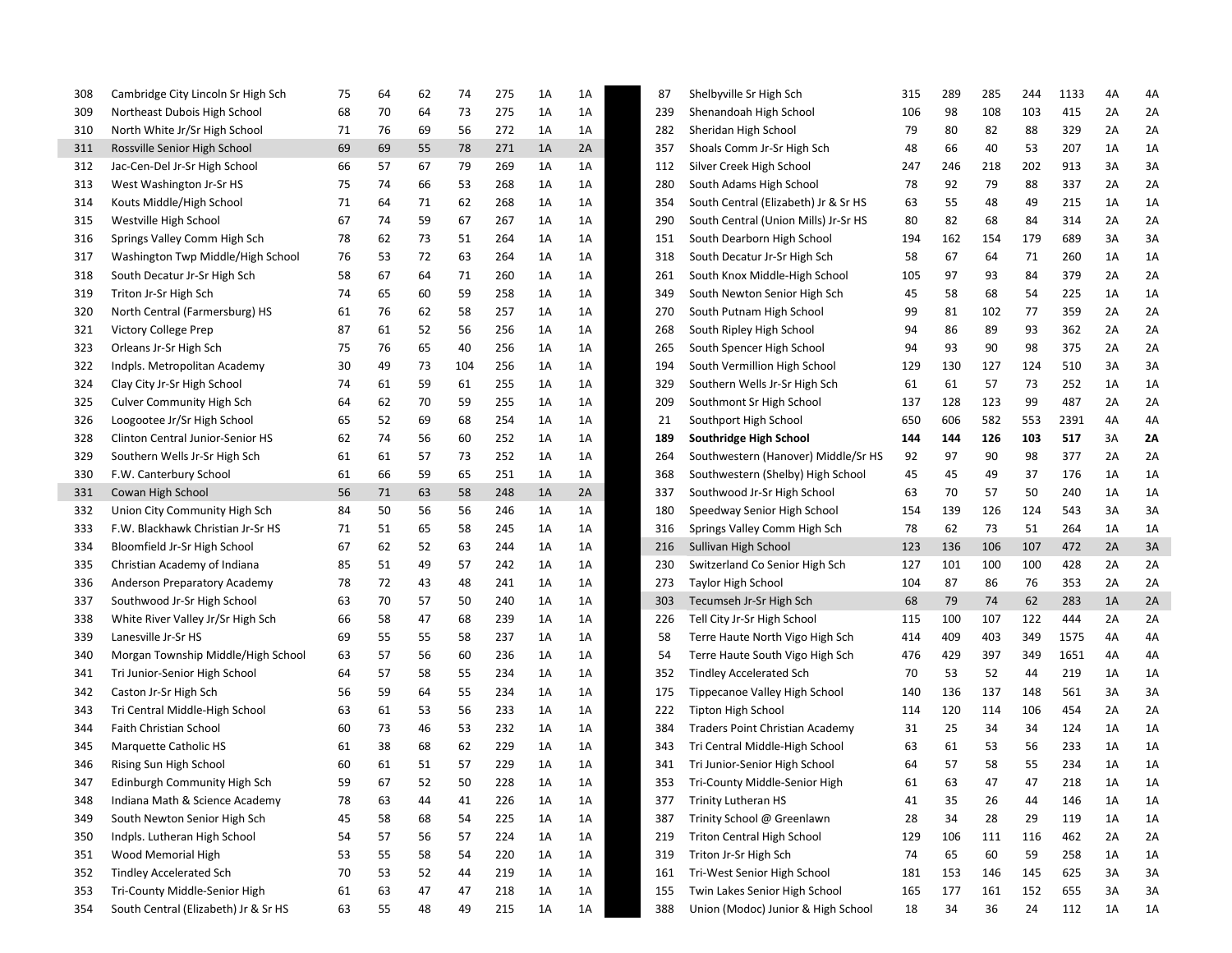| 308 | Cambridge City Lincoln Sr High Sch   | 75 | 64 | 62 | 74  | 275 | 1A | 1A | 87  | Shelbyville Sr High Sch              | 315 | 289 | 285 | 244 | 1133 | 4A | 4A |
|-----|--------------------------------------|----|----|----|-----|-----|----|----|-----|--------------------------------------|-----|-----|-----|-----|------|----|----|
| 309 | Northeast Dubois High School         | 68 | 70 | 64 | 73  | 275 | 1A | 1A | 239 | Shenandoah High School               | 106 | 98  | 108 | 103 | 415  | 2A | 2A |
| 310 | North White Jr/Sr High School        | 71 | 76 | 69 | 56  | 272 | 1A | 1A | 282 | Sheridan High School                 | 79  | 80  | 82  | 88  | 329  | 2A | 2A |
| 311 | Rossville Senior High School         | 69 | 69 | 55 | 78  | 271 | 1A | 2A | 357 | Shoals Comm Jr-Sr High Sch           | 48  | 66  | 40  | 53  | 207  | 1A | 1A |
| 312 | Jac-Cen-Del Jr-Sr High School        | 66 | 57 | 67 | 79  | 269 | 1A | 1A | 112 | Silver Creek High School             | 247 | 246 | 218 | 202 | 913  | 3A | 3A |
| 313 | West Washington Jr-Sr HS             | 75 | 74 | 66 | 53  | 268 | 1A | 1A | 280 | South Adams High School              | 78  | 92  | 79  | 88  | 337  | 2A | 2A |
| 314 | Kouts Middle/High School             | 71 | 64 | 71 | 62  | 268 | 1A | 1A | 354 | South Central (Elizabeth) Jr & Sr HS | 63  | 55  | 48  | 49  | 215  | 1A | 1A |
| 315 | Westville High School                | 67 | 74 | 59 | 67  | 267 | 1A | 1A | 290 | South Central (Union Mills) Jr-Sr HS | 80  | 82  | 68  | 84  | 314  | 2A | 2A |
| 316 | Springs Valley Comm High Sch         | 78 | 62 | 73 | 51  | 264 | 1A | 1A | 151 | South Dearborn High School           | 194 | 162 | 154 | 179 | 689  | 3A | 3A |
| 317 | Washington Twp Middle/High School    | 76 | 53 | 72 | 63  | 264 | 1A | 1A | 318 | South Decatur Jr-Sr High Sch         | 58  | 67  | 64  | 71  | 260  | 1A | 1A |
| 318 | South Decatur Jr-Sr High Sch         | 58 | 67 | 64 | 71  | 260 | 1A | 1A | 261 | South Knox Middle-High School        | 105 | 97  | 93  | 84  | 379  | 2A | 2A |
| 319 | Triton Jr-Sr High Sch                | 74 | 65 | 60 | 59  | 258 | 1A | 1A | 349 | South Newton Senior High Sch         | 45  | 58  | 68  | 54  | 225  | 1A | 1A |
| 320 | North Central (Farmersburg) HS       | 61 | 76 | 62 | 58  | 257 | 1A | 1A | 270 | South Putnam High School             | 99  | 81  | 102 | 77  | 359  | 2A | 2A |
| 321 | Victory College Prep                 | 87 | 61 | 52 | 56  | 256 | 1A | 1A | 268 | South Ripley High School             | 94  | 86  | 89  | 93  | 362  | 2A | 2A |
| 323 | Orleans Jr-Sr High Sch               | 75 | 76 | 65 | 40  | 256 | 1A | 1A | 265 | South Spencer High School            | 94  | 93  | 90  | 98  | 375  | 2A | 2A |
| 322 | Indpls. Metropolitan Academy         | 30 | 49 | 73 | 104 | 256 | 1A | 1A | 194 | South Vermillion High School         | 129 | 130 | 127 | 124 | 510  | 3A | 3A |
| 324 | Clay City Jr-Sr High School          | 74 | 61 | 59 | 61  | 255 | 1A | 1A | 329 | Southern Wells Jr-Sr High Sch        | 61  | 61  | 57  | 73  | 252  | 1A | 1A |
| 325 | <b>Culver Community High Sch</b>     | 64 | 62 | 70 | 59  | 255 | 1A | 1A | 209 | Southmont Sr High School             | 137 | 128 | 123 | 99  | 487  | 2A | 2A |
| 326 | Loogootee Jr/Sr High School          | 65 | 52 | 69 | 68  | 254 | 1A | 1A | 21  | Southport High School                | 650 | 606 | 582 | 553 | 2391 | 4A | 4A |
| 328 | Clinton Central Junior-Senior HS     | 62 | 74 | 56 | 60  | 252 | 1A | 1A | 189 | Southridge High School               | 144 | 144 | 126 | 103 | 517  | 3A | 2Α |
| 329 | Southern Wells Jr-Sr High Sch        | 61 | 61 | 57 | 73  | 252 | 1A | 1A | 264 | Southwestern (Hanover) Middle/Sr HS  | 92  | 97  | 90  | 98  | 377  | 2A | 2A |
| 330 | F.W. Canterbury School               | 61 | 66 | 59 | 65  | 251 | 1A | 1A | 368 | Southwestern (Shelby) High School    | 45  | 45  | 49  | 37  | 176  | 1A | 1A |
| 331 | Cowan High School                    | 56 | 71 | 63 | 58  | 248 | 1A | 2A | 337 | Southwood Jr-Sr High School          | 63  | 70  | 57  | 50  | 240  | 1A | 1A |
| 332 | Union City Community High Sch        | 84 | 50 | 56 | 56  | 246 | 1A | 1A | 180 | Speedway Senior High School          | 154 | 139 | 126 | 124 | 543  | 3A | 3A |
| 333 | F.W. Blackhawk Christian Jr-Sr HS    | 71 | 51 | 65 | 58  | 245 | 1A | 1A | 316 | Springs Valley Comm High Sch         | 78  | 62  | 73  | 51  | 264  | 1A | 1A |
| 334 | Bloomfield Jr-Sr High School         | 67 | 62 | 52 | 63  | 244 | 1A | 1A | 216 | Sullivan High School                 | 123 | 136 | 106 | 107 | 472  | 2A | 3A |
| 335 | Christian Academy of Indiana         | 85 | 51 | 49 | 57  | 242 | 1A | 1A | 230 | Switzerland Co Senior High Sch       | 127 | 101 | 100 | 100 | 428  | 2A | 2A |
| 336 | Anderson Preparatory Academy         | 78 | 72 | 43 | 48  | 241 | 1A | 1A | 273 | <b>Taylor High School</b>            | 104 | 87  | 86  | 76  | 353  | 2A | 2A |
| 337 | Southwood Jr-Sr High School          | 63 | 70 | 57 | 50  | 240 | 1A | 1A | 303 | Tecumseh Jr-Sr High Sch              | 68  | 79  | 74  | 62  | 283  | 1A | 2A |
| 338 | White River Valley Jr/Sr High Sch    | 66 | 58 | 47 | 68  | 239 | 1A | 1A | 226 | Tell City Jr-Sr High School          | 115 | 100 | 107 | 122 | 444  | 2A | 2A |
| 339 | Lanesville Jr-Sr HS                  | 69 | 55 | 55 | 58  | 237 | 1A | 1A | 58  | Terre Haute North Vigo High Sch      | 414 | 409 | 403 | 349 | 1575 | 4A | 4A |
| 340 | Morgan Township Middle/High School   | 63 | 57 | 56 | 60  | 236 | 1A | 1A | 54  | Terre Haute South Vigo High Sch      | 476 | 429 | 397 | 349 | 1651 | 4A | 4A |
| 341 | Tri Junior-Senior High School        | 64 | 57 | 58 | 55  | 234 | 1A | 1A | 352 | <b>Tindley Accelerated Sch</b>       | 70  | 53  | 52  | 44  | 219  | 1A | 1A |
| 342 | Caston Jr-Sr High Sch                | 56 | 59 | 64 | 55  | 234 | 1A | 1A | 175 | Tippecanoe Valley High School        | 140 | 136 | 137 | 148 | 561  | 3A | 3A |
| 343 | Tri Central Middle-High School       | 63 | 61 | 53 | 56  | 233 | 1A | 1A | 222 | <b>Tipton High School</b>            | 114 | 120 | 114 | 106 | 454  | 2A | 2A |
| 344 | Faith Christian School               | 60 | 73 | 46 | 53  | 232 | 1A | 1A | 384 | Traders Point Christian Academy      | 31  | 25  | 34  | 34  | 124  | 1A | 1A |
| 345 | Marquette Catholic HS                | 61 | 38 | 68 | 62  | 229 | 1A | 1A | 343 | Tri Central Middle-High School       | 63  | 61  | 53  | 56  | 233  | 1A | 1A |
| 346 | Rising Sun High School               | 60 | 61 | 51 | 57  | 229 | 1A | 1A | 341 | Tri Junior-Senior High School        | 64  | 57  | 58  | 55  | 234  | 1A | 1A |
| 347 | Edinburgh Community High Sch         | 59 | 67 |    | 50  | 228 | 1A | 1A | 353 | Tri-County Middle-Senior High        | 61  | 63  | 47  | 47  | 218  | 1A | 1A |
| 348 | Indiana Math & Science Academy       | 78 | 63 | 44 | 41  | 226 | 1A | 1A | 377 | <b>Trinity Lutheran HS</b>           | 41  | 35  | 26  | 44  | 146  | 1A | 1A |
| 349 | South Newton Senior High Sch         | 45 | 58 | 68 | 54  | 225 | 1A | 1A | 387 | Trinity School @ Greenlawn           | 28  | 34  | 28  | 29  | 119  | 1A | 1A |
| 350 | Indpls. Lutheran High School         | 54 | 57 | 56 | 57  | 224 | 1A | 1A | 219 | Triton Central High School           | 129 | 106 | 111 | 116 | 462  | 2A | 2A |
| 351 | Wood Memorial High                   | 53 | 55 | 58 | 54  | 220 | 1A | 1A | 319 | Triton Jr-Sr High Sch                | 74  | 65  | 60  | 59  | 258  | 1A | 1A |
| 352 | <b>Tindley Accelerated Sch</b>       | 70 | 53 | 52 | 44  | 219 | 1A | 1A | 161 | Tri-West Senior High School          | 181 | 153 | 146 | 145 | 625  | 3A | 3A |
| 353 | Tri-County Middle-Senior High        | 61 | 63 | 47 | 47  | 218 | 1A | 1A | 155 | Twin Lakes Senior High School        | 165 | 177 | 161 | 152 | 655  | 3A | 3A |
| 354 | South Central (Elizabeth) Jr & Sr HS | 63 | 55 | 48 | 49  | 215 | 1A | 1A | 388 | Union (Modoc) Junior & High School   | 18  | 34  | 36  | 24  | 112  | 1A | 1A |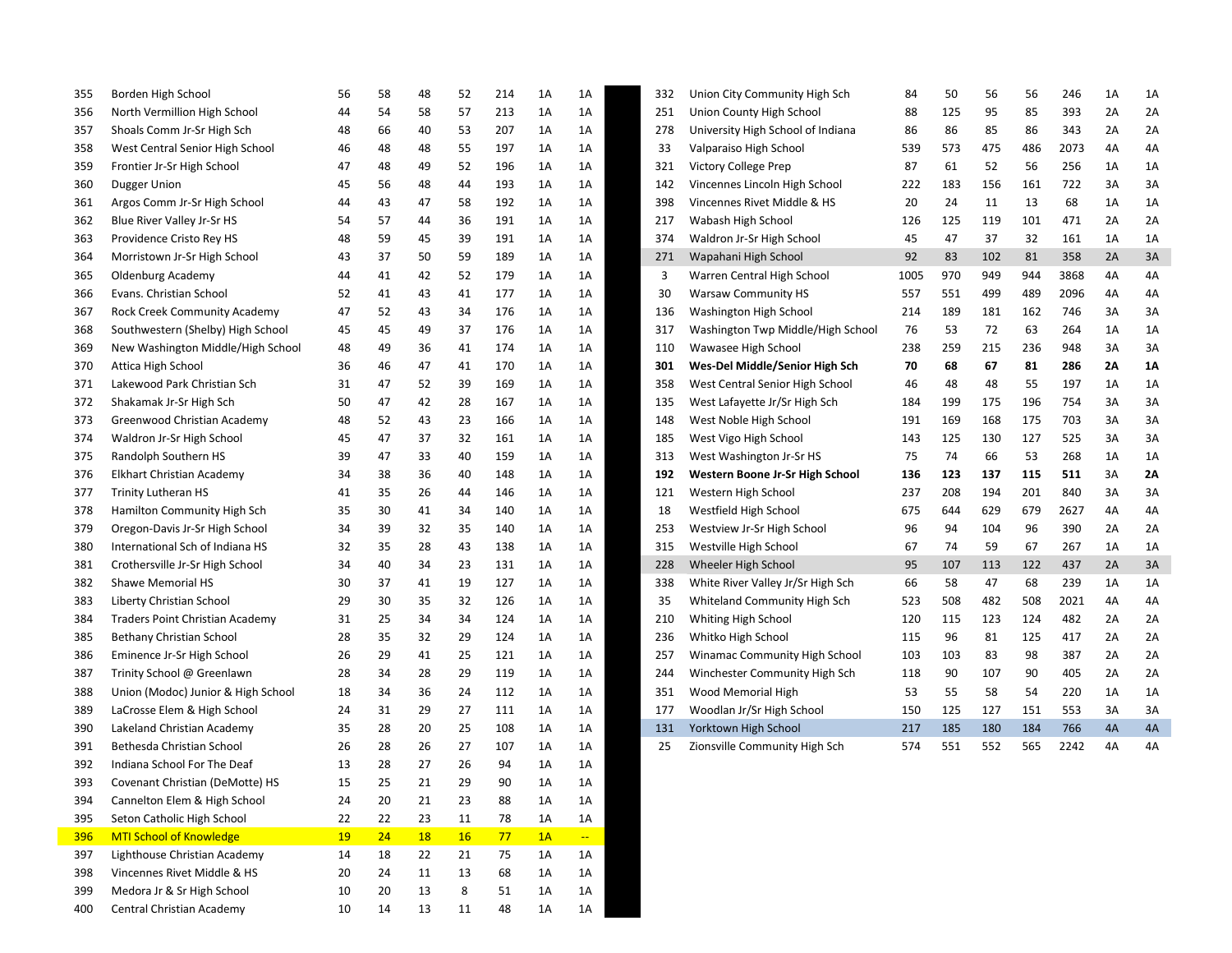| 355 | Borden High School                     | 56        | 58 | 48        | 52        | 214 | 1A | 1A            | 332 | Union City Community High Sch     | 84   | 50  | 56  | 56  | 246  | 1A | 1A |
|-----|----------------------------------------|-----------|----|-----------|-----------|-----|----|---------------|-----|-----------------------------------|------|-----|-----|-----|------|----|----|
| 356 | North Vermillion High School           | 44        | 54 | 58        | 57        | 213 | 1A | 1A            | 251 | Union County High School          | 88   | 125 | 95  | 85  | 393  | 2A | 2A |
| 357 | Shoals Comm Jr-Sr High Sch             | 48        | 66 | 40        | 53        | 207 | 1A | 1A            | 278 | University High School of Indiana | 86   | 86  | 85  | 86  | 343  | 2A | 2A |
| 358 | West Central Senior High School        | 46        | 48 | 48        | 55        | 197 | 1A | 1A            | 33  | Valparaiso High School            | 539  | 573 | 475 | 486 | 2073 | 4A | 4A |
| 359 | Frontier Jr-Sr High School             | 47        | 48 | 49        | 52        | 196 | 1A | 1A            | 321 | Victory College Prep              | 87   | 61  | 52  | 56  | 256  | 1A | 1A |
| 360 | Dugger Union                           | 45        | 56 | 48        | 44        | 193 | 1A | 1A            | 142 | Vincennes Lincoln High School     | 222  | 183 | 156 | 161 | 722  | 3A | 3A |
| 361 | Argos Comm Jr-Sr High School           | 44        | 43 | 47        | 58        | 192 | 1A | 1A            | 398 | Vincennes Rivet Middle & HS       | 20   | 24  | 11  | 13  | 68   | 1A | 1A |
| 362 | Blue River Valley Jr-Sr HS             | 54        | 57 | 44        | 36        | 191 | 1A | 1A            | 217 | Wabash High School                | 126  | 125 | 119 | 101 | 471  | 2A | 2A |
| 363 | Providence Cristo Rey HS               | 48        | 59 | 45        | 39        | 191 | 1A | 1A            | 374 | Waldron Jr-Sr High School         | 45   | 47  | 37  | 32  | 161  | 1A | 1A |
| 364 | Morristown Jr-Sr High School           | 43        | 37 | 50        | 59        | 189 | 1A | 1A            | 271 | Wapahani High School              | 92   | 83  | 102 | 81  | 358  | 2A | 3A |
| 365 | Oldenburg Academy                      | 44        | 41 | 42        | 52        | 179 | 1A | 1A            | 3   | Warren Central High School        | 1005 | 970 | 949 | 944 | 3868 | 4A | 4A |
| 366 | Evans. Christian School                | 52        | 41 | 43        | 41        | 177 | 1A | 1A            | 30  | <b>Warsaw Community HS</b>        | 557  | 551 | 499 | 489 | 2096 | 4A | 4A |
| 367 | Rock Creek Community Academy           | 47        | 52 | 43        | 34        | 176 | 1A | 1A            | 136 | Washington High School            | 214  | 189 | 181 | 162 | 746  | 3A | 3A |
| 368 | Southwestern (Shelby) High School      | 45        | 45 | 49        | 37        | 176 | 1A | 1A            | 317 | Washington Twp Middle/High School | 76   | 53  | 72  | 63  | 264  | 1A | 1A |
| 369 | New Washington Middle/High School      | 48        | 49 | 36        | 41        | 174 | 1A | 1A            | 110 | Wawasee High School               | 238  | 259 | 215 | 236 | 948  | 3A | 3A |
| 370 | Attica High School                     | 36        | 46 | 47        | 41        | 170 | 1A | 1A            | 301 | Wes-Del Middle/Senior High Sch    | 70   | 68  | 67  | 81  | 286  | 2A | 1Α |
| 371 | Lakewood Park Christian Sch            | 31        | 47 | 52        | 39        | 169 | 1A | 1A            | 358 | West Central Senior High School   | 46   | 48  | 48  | 55  | 197  | 1A | 1A |
| 372 | Shakamak Jr-Sr High Sch                | 50        | 47 | 42        | 28        | 167 | 1A | 1A            | 135 | West Lafayette Jr/Sr High Sch     | 184  | 199 | 175 | 196 | 754  | 3A | 3A |
| 373 | Greenwood Christian Academy            | 48        | 52 | 43        | 23        | 166 | 1A | 1A            | 148 | West Noble High School            | 191  | 169 | 168 | 175 | 703  | 3A | 3A |
| 374 | Waldron Jr-Sr High School              | 45        | 47 | 37        | 32        | 161 | 1A | 1A            | 185 | West Vigo High School             | 143  | 125 | 130 | 127 | 525  | 3A | 3A |
| 375 | Randolph Southern HS                   | 39        | 47 | 33        | 40        | 159 | 1A | 1A            | 313 | West Washington Jr-Sr HS          | 75   | 74  | 66  | 53  | 268  | 1A | 1A |
| 376 | Elkhart Christian Academy              | 34        | 38 | 36        | 40        | 148 | 1A | 1A            | 192 | Western Boone Jr-Sr High School   | 136  | 123 | 137 | 115 | 511  | 3A | 2Λ |
| 377 | <b>Trinity Lutheran HS</b>             | 41        | 35 | 26        | 44        | 146 | 1A | 1A            | 121 | Western High School               | 237  | 208 | 194 | 201 | 840  | 3A | 3A |
| 378 | Hamilton Community High Sch            | 35        | 30 | 41        | 34        | 140 | 1A | 1A            | 18  | Westfield High School             | 675  | 644 | 629 | 679 | 2627 | 4A | 4A |
| 379 | Oregon-Davis Jr-Sr High School         | 34        | 39 | 32        | 35        | 140 | 1A | 1A            | 253 | Westview Jr-Sr High School        | 96   | 94  | 104 | 96  | 390  | 2A | 2A |
| 380 | International Sch of Indiana HS        | 32        | 35 | 28        | 43        | 138 | 1A | 1A            | 315 | Westville High School             | 67   | 74  | 59  | 67  | 267  | 1A | 1A |
| 381 | Crothersville Jr-Sr High School        | 34        | 40 | 34        | 23        | 131 | 1A | 1A            | 228 | Wheeler High School               | 95   | 107 | 113 | 122 | 437  | 2A | 3A |
| 382 | Shawe Memorial HS                      | 30        | 37 | 41        | 19        | 127 | 1A | 1A            | 338 | White River Valley Jr/Sr High Sch | 66   | 58  | 47  | 68  | 239  | 1A | 1A |
| 383 | Liberty Christian School               | 29        | 30 | 35        | 32        | 126 | 1A | 1A            | 35  | Whiteland Community High Sch      | 523  | 508 | 482 | 508 | 2021 | 4A | 4A |
| 384 | <b>Traders Point Christian Academy</b> | 31        | 25 | 34        | 34        | 124 | 1A | 1A            | 210 | Whiting High School               | 120  | 115 | 123 | 124 | 482  | 2A | 2A |
| 385 | Bethany Christian School               | 28        | 35 | 32        | 29        | 124 | 1A | 1A            | 236 | Whitko High School                | 115  | 96  | 81  | 125 | 417  | 2A | 2A |
| 386 | Eminence Jr-Sr High School             | 26        | 29 | 41        | 25        | 121 | 1A | 1A            | 257 | Winamac Community High School     | 103  | 103 | 83  | 98  | 387  | 2A | 2A |
| 387 | Trinity School @ Greenlawn             | 28        | 34 | 28        | 29        | 119 | 1A | 1A            | 244 | Winchester Community High Sch     | 118  | 90  | 107 | 90  | 405  | 2A | 2A |
| 388 | Union (Modoc) Junior & High School     | 18        | 34 | 36        | 24        | 112 | 1A | 1A            | 351 | Wood Memorial High                | 53   | 55  | 58  | 54  | 220  | 1A | 1A |
| 389 | LaCrosse Elem & High School            | 24        | 31 | 29        | 27        | 111 | 1A | 1A            | 177 | Woodlan Jr/Sr High School         | 150  | 125 | 127 | 151 | 553  | 3A | 3A |
| 390 | Lakeland Christian Academy             | 35        | 28 | 20        | 25        | 108 | 1A | 1A            | 131 | Yorktown High School              | 217  | 185 | 180 | 184 | 766  | 4A | 4A |
| 391 | Bethesda Christian School              | 26        | 28 | 26        | 27        | 107 | 1A | 1A            | 25  | Zionsville Community High Sch     | 574  | 551 | 552 | 565 | 2242 | 4A | 4A |
| 392 | Indiana School For The Deaf            | 13        | 28 | 27        | 26        | 94  | 1A | 1A            |     |                                   |      |     |     |     |      |    |    |
| 393 | Covenant Christian (DeMotte) HS        | 15        | 25 | 21        | 29        | 90  | 1A | 1A            |     |                                   |      |     |     |     |      |    |    |
| 394 | Cannelton Elem & High School           | 24        | 20 | 21        | 23        | 88  | 1A | 1A            |     |                                   |      |     |     |     |      |    |    |
| 395 | Seton Catholic High School             | 22        | 22 | 23        | 11        | 78  | 1A | 1A            |     |                                   |      |     |     |     |      |    |    |
| 396 | MTI School of Knowledge                | <b>19</b> | 24 | <b>18</b> | <b>16</b> | 77  | 1A | $\rightarrow$ |     |                                   |      |     |     |     |      |    |    |
| 397 | Lighthouse Christian Academy           | 14        | 18 | 22        | 21        | 75  | 1A | 1A            |     |                                   |      |     |     |     |      |    |    |
| 398 | Vincennes Rivet Middle & HS            | 20        | 24 | 11        | 13        | 68  | 1A | 1A            |     |                                   |      |     |     |     |      |    |    |
| 399 | Medora Jr & Sr High School             | 10        | 20 | 13        | 8         | 51  | 1A | 1A            |     |                                   |      |     |     |     |      |    |    |
| 400 | Central Christian Academy              | 10        | 14 | 13        | 11        | 48  | 1A | 1A            |     |                                   |      |     |     |     |      |    |    |